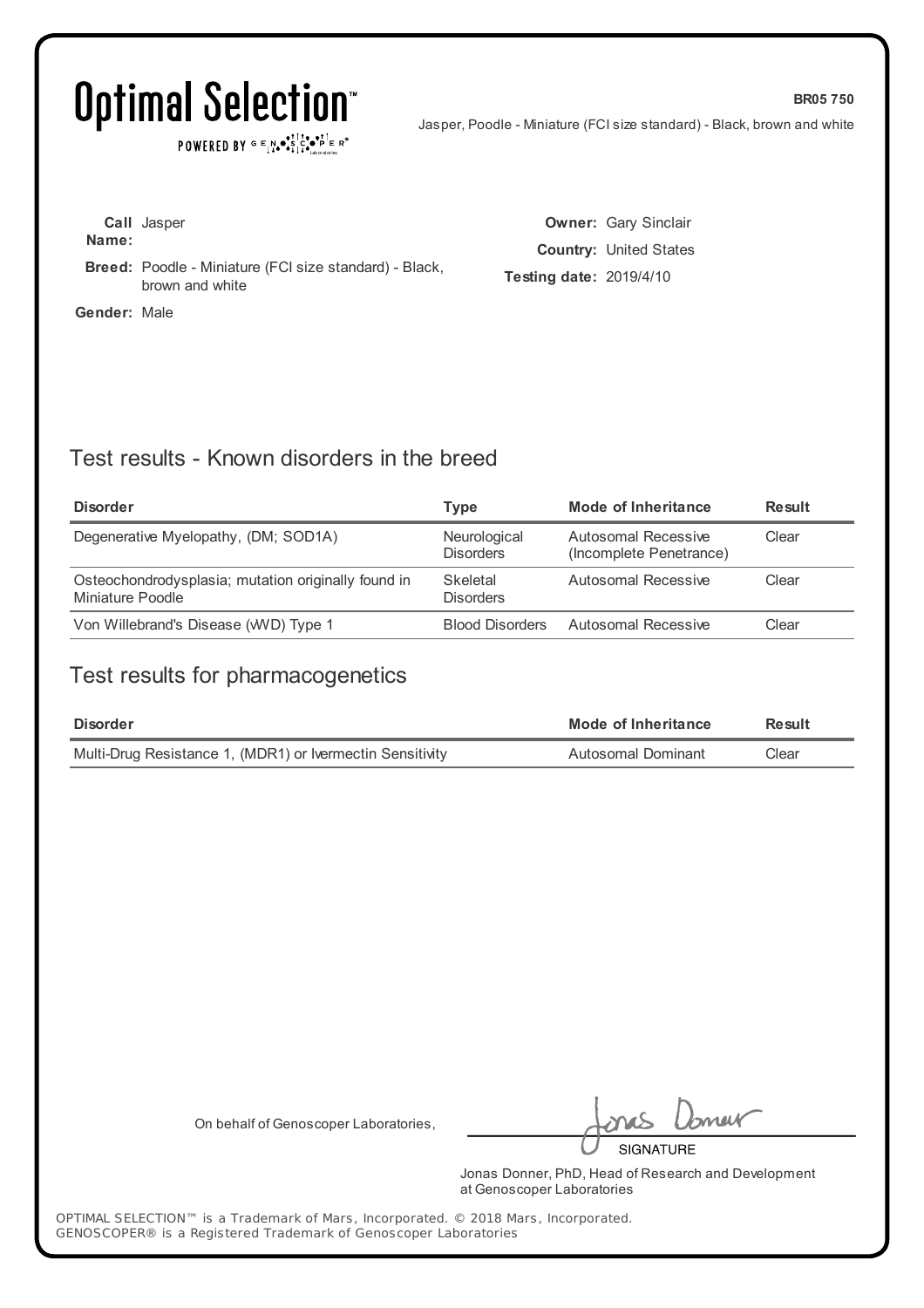## Optimal Selection<sup>®</sup>

POWERED BY  $G \in \mathbb{N} \bullet \mathbb{S}^1 \times \bullet \mathbb{S}^1 \longrightarrow \mathbb{R}^*$ 

Jasper, Poodle - Miniature (FCI size standard) - Black, brown and white

**BR05 750**

**Call** Jasper **Name: Breed:** Poodle - Miniature (FCI size standard) - Black, brown and white

**Gender:** Male

**Owner:** Gary Sinclair **Country:** United States **Testing date:** 2019/4/10

## Test results - Known disorders in the breed

| <b>Disorder</b>                                                         | Type                             | Mode of Inheritance                            | <b>Result</b> |
|-------------------------------------------------------------------------|----------------------------------|------------------------------------------------|---------------|
| Degenerative Myelopathy, (DM; SOD1A)                                    | Neurological<br><b>Disorders</b> | Autosomal Recessive<br>(Incomplete Penetrance) | Clear         |
| Osteochondrodysplasia; mutation originally found in<br>Miniature Poodle | Skeletal<br><b>Disorders</b>     | Autosomal Recessive                            | Clear         |
| Von Willebrand's Disease (WVD) Type 1                                   | <b>Blood Disorders</b>           | Autosomal Recessive                            | Clear         |

### Test results for pharmacogenetics

| <b>Disorder</b>                                           | Mode of Inheritance | Result |
|-----------------------------------------------------------|---------------------|--------|
| Multi-Drug Resistance 1, (MDR1) or Ivermectin Sensitivity | Autosomal Dominant  | Clear  |

On behalf of Genoscoper Laboratories,

neit **SIGNATURE** 

Jonas Donner, PhD, Head of Research and Development at Genoscoper Laboratories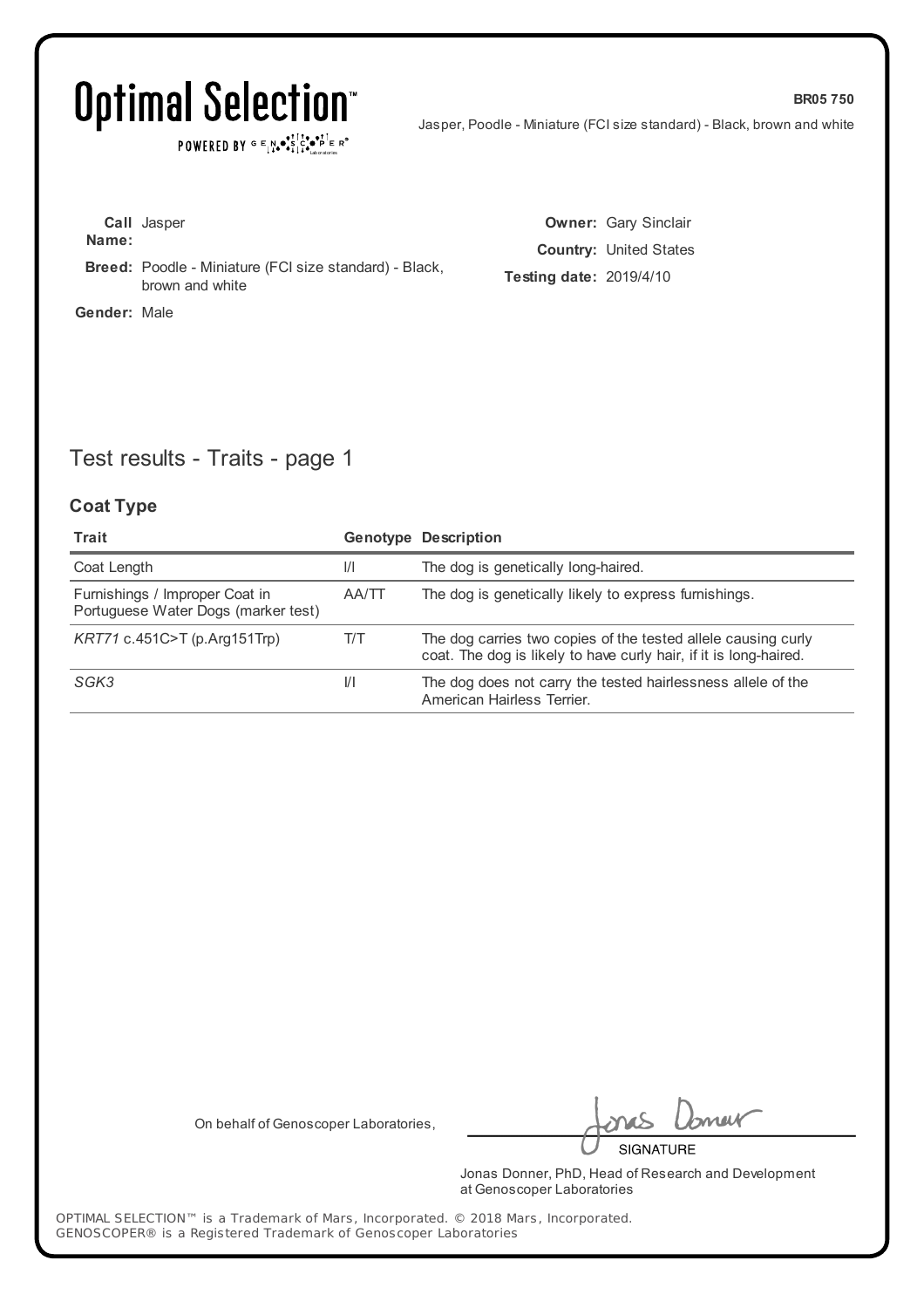$\texttt{POWERED BY} \xrightarrow{\text{c}} \mathbb{I} \underset{\text{a}}{\text{N}} \bullet \underset{\text{b}}{\text{S}} \underset{\text{b}}{\text{C}} \underset{\text{b}}{\text{C}} \bullet \underset{\text{b}}{\text{P}} \underset{\text{c}}{\text{E}} \xrightarrow{\text{c}} \mathbb{R}^\circ$ 

Jasper, Poodle - Miniature (FCI size standard) - Black, brown and white

**BR05 750**

| Name:        | <b>Call</b> Jasper                                                               |      |
|--------------|----------------------------------------------------------------------------------|------|
|              | <b>Breed:</b> Poodle - Miniature (FCI size standard) - Black,<br>brown and white | Test |
| Gender: Male |                                                                                  |      |

**Owner:** Gary Sinclair **Country:** United States **Testing date:** 2019/4/10

## Test results - Traits - page 1

### **Coat Type**

| Trait                                                                 |               | <b>Genotype Description</b>                                                                                                        |
|-----------------------------------------------------------------------|---------------|------------------------------------------------------------------------------------------------------------------------------------|
| Coat Length                                                           | $\frac{1}{1}$ | The dog is genetically long-haired.                                                                                                |
| Furnishings / Improper Coat in<br>Portuguese Water Dogs (marker test) | AA/TT         | The dog is genetically likely to express furnishings.                                                                              |
| $KRT71$ c.451C>T (p.Arg151Trp)                                        | T/T           | The dog carries two copies of the tested allele causing curly<br>coat. The dog is likely to have curly hair, if it is long-haired. |
| SGK3                                                                  | VI.           | The dog does not carry the tested hairlessness allele of the<br>American Hairless Terrier.                                         |

On behalf of Genoscoper Laboratories,

neit

**SIGNATURE** 

Jonas Donner, PhD, Head of Research and Development at Genoscoper Laboratories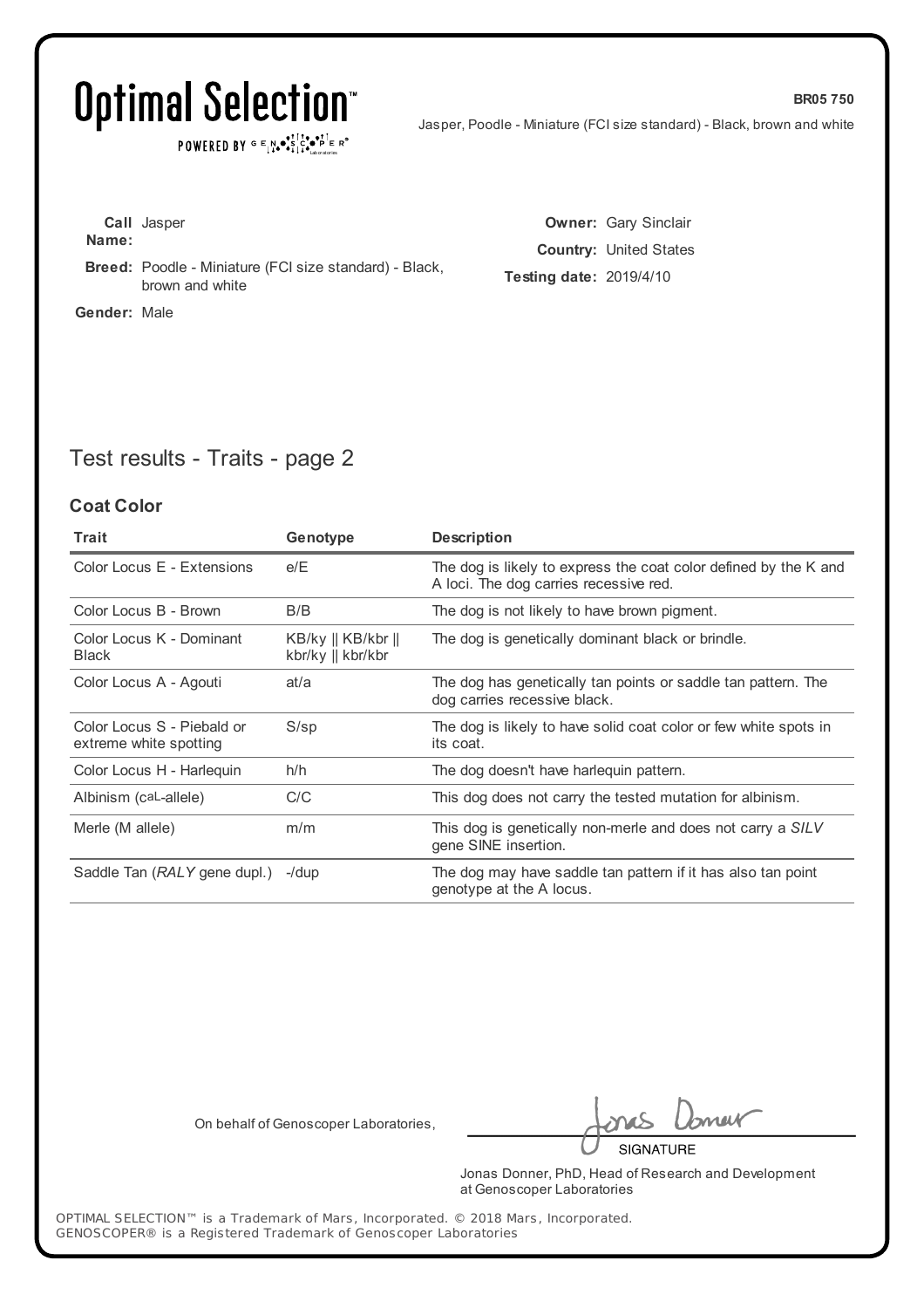## Optimal Selection<sup>®</sup>

POWERED BY  $G \in N_{\bullet} \bullet_{\bullet}^{\dagger} \mathbb{I}_{\bullet}^{\dagger} \bullet_{\mathbf{P}}^{\dagger} \mathbb{E} \mathbb{R}^{\circ}$ 

Jasper, Poodle - Miniature (FCI size standard) - Black, brown and white

**BR05 750**

**Call** Jasper **Name: Breed:** Poodle - Miniature (FCI size standard) - Black, brown and white **Gender:** Male

**Owner:** Gary Sinclair **Country:** United States **Testing date:** 2019/4/10

## Test results - Traits - page 2

#### **Coat Color**

| Trait                                                | Genotype                                                | <b>Description</b>                                                                                         |
|------------------------------------------------------|---------------------------------------------------------|------------------------------------------------------------------------------------------------------------|
| Color Locus E - Extensions                           | e/E                                                     | The dog is likely to express the coat color defined by the K and<br>A loci. The dog carries recessive red. |
| Color Locus B - Brown                                | B/B                                                     | The dog is not likely to have brown pigment.                                                               |
| Color Locus K - Dominant<br><b>Black</b>             | $KB/ky \parallel KB/kbr \parallel$<br>kbr/ky    kbr/kbr | The dog is genetically dominant black or brindle.                                                          |
| Color Locus A - Agouti                               | at/a                                                    | The dog has genetically tan points or saddle tan pattern. The<br>dog carries recessive black.              |
| Color Locus S - Piebald or<br>extreme white spotting | $S$ /sp                                                 | The dog is likely to have solid coat color or few white spots in<br>its coat.                              |
| Color Locus H - Harleguin                            | h/h                                                     | The dog doesn't have harlequin pattern.                                                                    |
| Albinism (caL-allele)                                | C/C                                                     | This dog does not carry the tested mutation for albinism.                                                  |
| Merle (M allele)                                     | m/m                                                     | This dog is genetically non-merle and does not carry a SILV<br>gene SINE insertion.                        |
| Saddle Tan (RALY gene dupl.)                         | $-$ /dup                                                | The dog may have saddle tan pattern if it has also tan point<br>genotype at the A locus.                   |

On behalf of Genoscoper Laboratories,

neit

**SIGNATURE** 

Jonas Donner, PhD, Head of Research and Development at Genoscoper Laboratories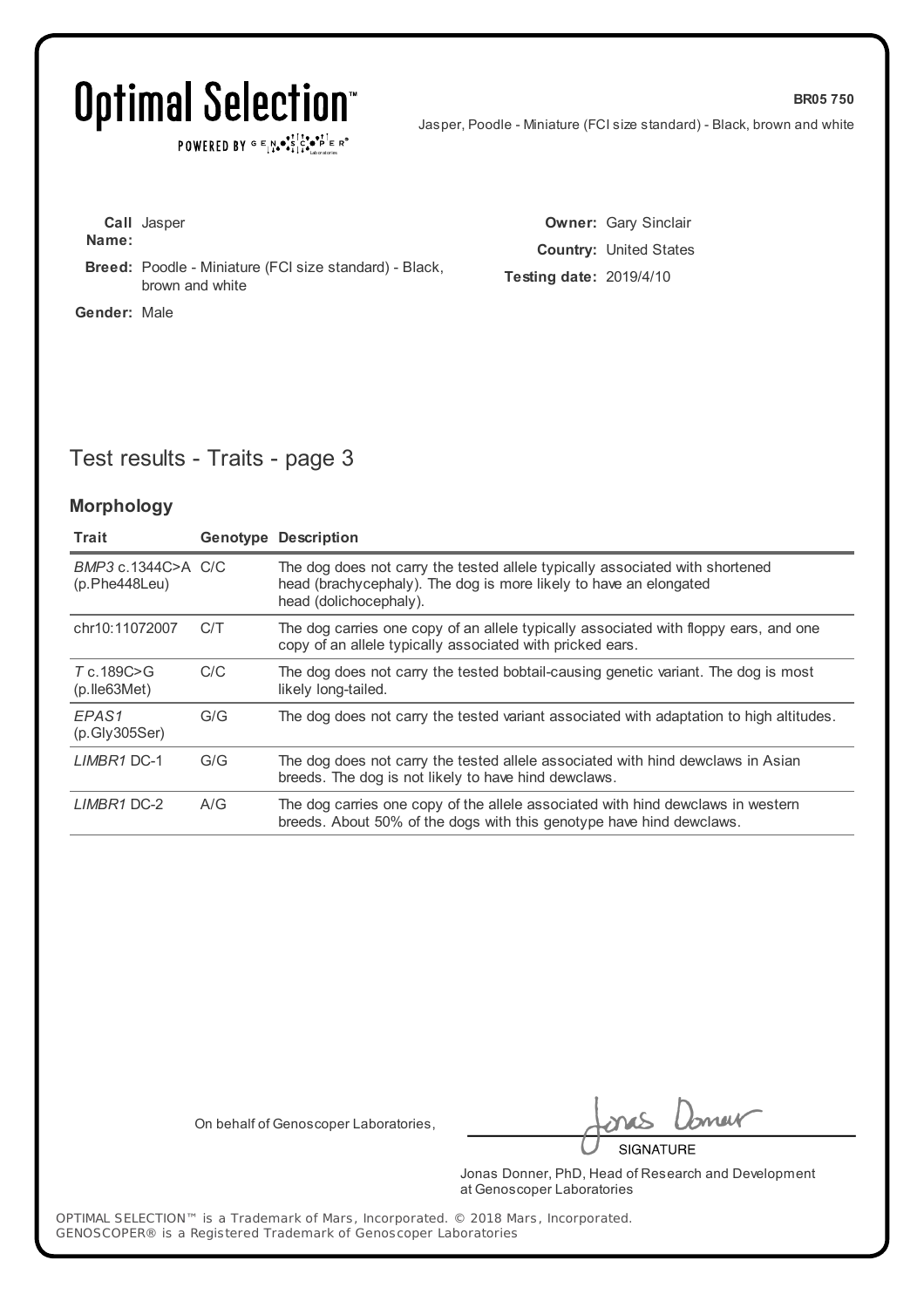POWERED BY  $G \in N_{\bullet} \bullet_{\bullet}^{\bullet} \overset{\uparrow\uparrow}{\underset{\scriptscriptstyle{\sim}{\bullet}}{\bullet}} \overset{\bullet\bullet}{\underset{\scriptscriptstyle{\sim}{\bullet}}{\bullet}}^\uparrow \overset{\uparrow\bullet}{\underset{\scriptscriptstyle{\sim}{\bullet}}{\bullet}} \overset{\uparrow\bullet}{\underset{\scriptscriptstyle{\sim}{\bullet}}{\bullet}}^\uparrow \overset{\scriptscriptstyle{\sim}}{\underset{\scriptscriptstyle{\sim}{\bullet}}{\bullet}} \mathbb{R}^\circ$ 

Jasper, Poodle - Miniature (FCI size standard) - Black, brown and white

**BR05 750**

|                     | <b>Call</b> Jasper                                                               |
|---------------------|----------------------------------------------------------------------------------|
| Name:               |                                                                                  |
|                     | <b>Breed:</b> Poodle - Miniature (FCI size standard) - Black,<br>brown and white |
| <b>Gender: Male</b> |                                                                                  |

**Owner:** Gary Sinclair **Country:** United States **Testing date:** 2019/4/10

## Test results - Traits - page 3

#### **Morphology**

| Trait                                    |     | <b>Genotype Description</b>                                                                                                                                                 |
|------------------------------------------|-----|-----------------------------------------------------------------------------------------------------------------------------------------------------------------------------|
| BMP3 c.1344C>A C/C<br>(p.Phe448Leu)      |     | The dog does not carry the tested allele typically associated with shortened<br>head (brachycephaly). The dog is more likely to have an elongated<br>head (dolichocephaly). |
| chr10:11072007                           | C/T | The dog carries one copy of an allele typically associated with floppy ears, and one<br>copy of an allele typically associated with pricked ears.                           |
| $T_c$ . 189 $C > G$<br>$(p.$ Ile 63 Met) | C/C | The dog does not carry the tested bobtail-causing genetic variant. The dog is most<br>likely long-tailed.                                                                   |
| EPAS1<br>(p.Gly305Ser)                   | G/G | The dog does not carry the tested variant associated with adaptation to high altitudes.                                                                                     |
| <b>LIMBR1 DC-1</b>                       | G/G | The dog does not carry the tested allele associated with hind dewclaws in Asian<br>breeds. The dog is not likely to have hind dewclaws.                                     |
| LIMBR1 DC-2                              | A/G | The dog carries one copy of the allele associated with hind dewclaws in western<br>breeds. About 50% of the dogs with this genotype have hind dewclaws.                     |

On behalf of Genoscoper Laboratories,

neik

**SIGNATURE** 

Jonas Donner, PhD, Head of Research and Development at Genoscoper Laboratories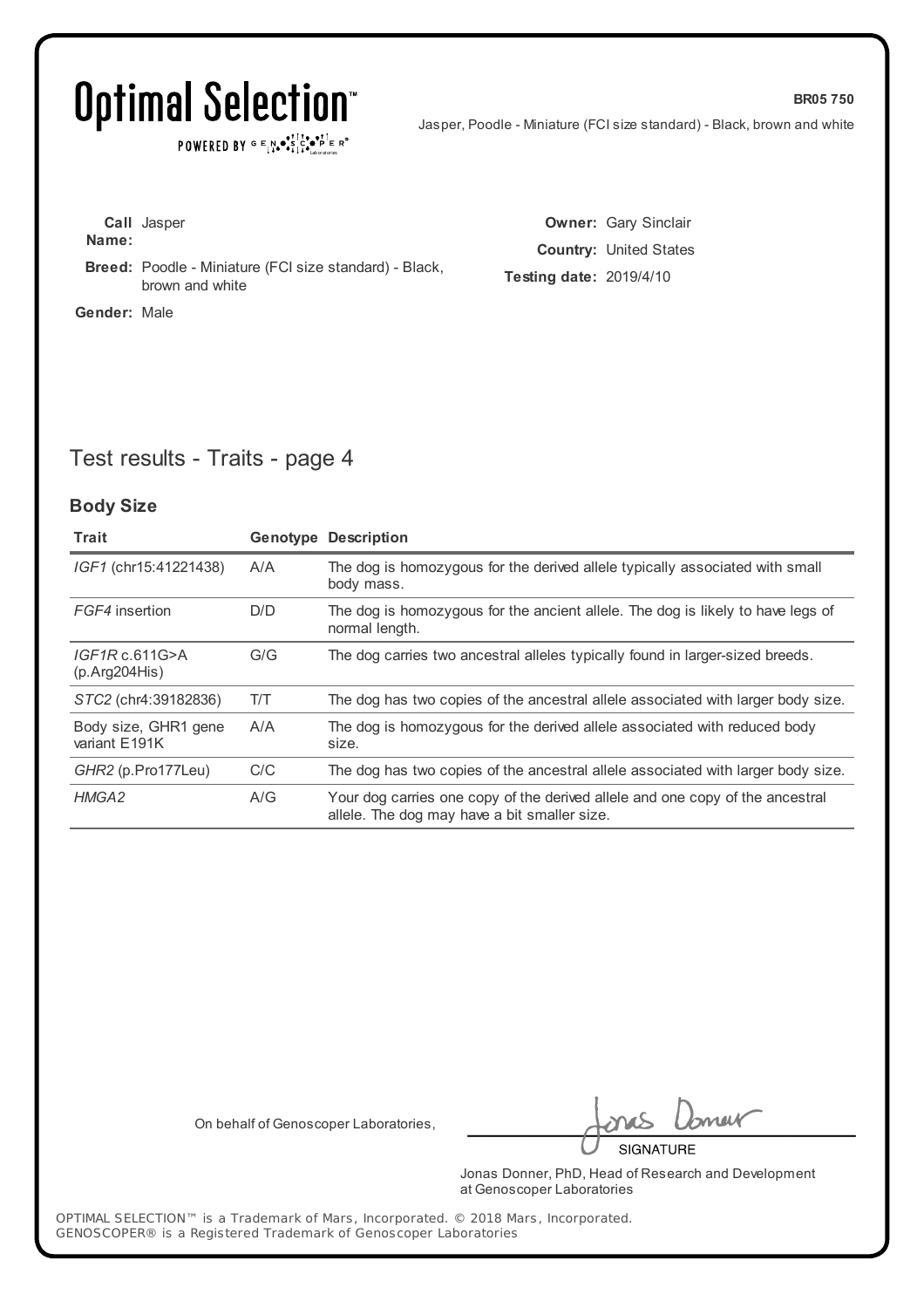## Optimal Selection<sup>®</sup>

POWERED BY  $G \in N_{\bullet} \bullet_{\bullet}^{\dagger} \mathbb{I}_{\bullet}^{\dagger} \bullet_{\mathbf{P}}^{\dagger} \mathbb{E} \mathbb{R}^{\circ}$ 

Jasper, Poodle - Miniature (FCI size standard) - Black, brown and white

**BR05 750**

**Call** Jasper **Name: Breed:** Poodle - Miniature (FCI size standard) - Black, brown and white **Gender:** Male

**Owner:** Gary Sinclair **Country:** United States **Testing date:** 2019/4/10

## Test results - Traits - page 4

#### **Body Size**

| Trait                                 |     | <b>Genotype Description</b>                                                                                                   |
|---------------------------------------|-----|-------------------------------------------------------------------------------------------------------------------------------|
| IGF1 (chr15:41221438)                 | A/A | The dog is homozygous for the derived allele typically associated with small<br>body mass.                                    |
| FGF4 insertion                        | D/D | The dog is homozygous for the ancient allele. The dog is likely to have legs of<br>normal length.                             |
| IGF1Rc.611G>A<br>(p. Arg204His)       | G/G | The dog carries two ancestral alleles typically found in larger-sized breeds.                                                 |
| STC2 (chr4:39182836)                  | T/T | The dog has two copies of the ancestral allele associated with larger body size.                                              |
| Body size, GHR1 gene<br>variant E191K | A/A | The dog is homozygous for the derived allele associated with reduced body<br>size.                                            |
| GHR2 (p.Pro177Leu)                    | C/C | The dog has two copies of the ancestral allele associated with larger body size.                                              |
| HMGA2                                 | A/G | Your dog carries one copy of the derived allele and one copy of the ancestral<br>allele. The dog may have a bit smaller size. |

On behalf of Genoscoper Laboratories,

meik **SIGNATURE** 

Jonas Donner, PhD, Head of Research and Development at Genoscoper Laboratories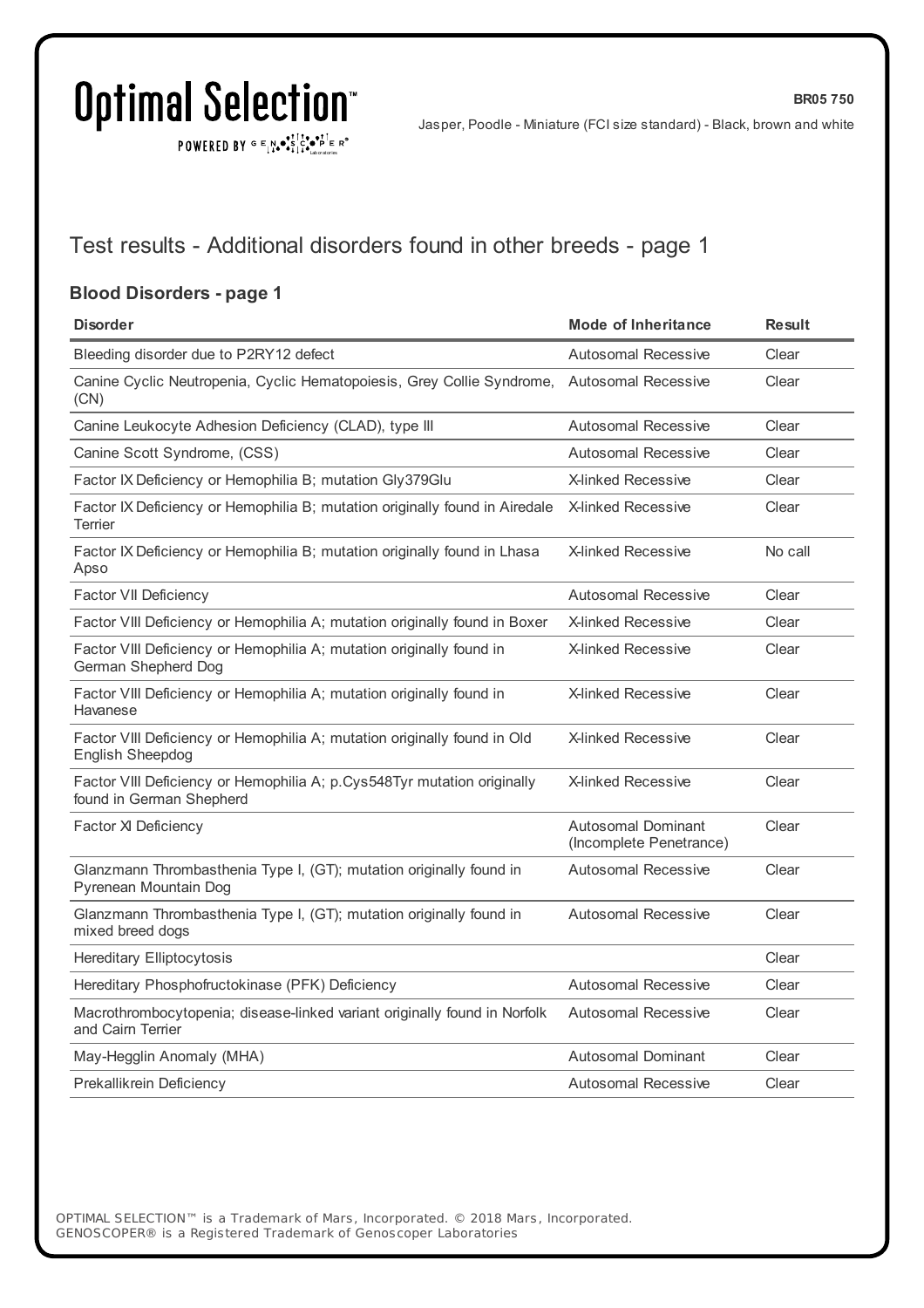$\texttt{POWERED BY} \xrightarrow{\mathbf{c}} \mathbb{I} \underset{\mathbf{a}}{\overset{\mathbf{r}}{\mathbf{a}}} \overset{\mathbf{r}}{\overset{\mathbf{r}}{\mathbf{s}}} \underset{\mathbf{a}}{\overset{\mathbf{r}}{\mathbf{a}}} \overset{\mathbf{r}}{\overset{\mathbf{r}}{\mathbf{s}}} \overset{\mathbf{r}}{\overset{\mathbf{r}}{\mathbf{s}}} \overset{\mathbf{r}}{\overset{\mathbf{r}}{\mathbf{s}}} \overset{\mathbf{r}}{\overset{\mathbf{r}}{\mathbf{s}}} \overset{\mathbf{r}}{\overset{\mathbf{r}}{\mathbf{s}}} \overset{\mathbf{r}}$ 

**BR05 750**

## Test results - Additional disorders found in other breeds - page 1

### **Blood Disorders - page 1**

| <b>Disorder</b>                                                                                     | <b>Mode of Inheritance</b>                           | <b>Result</b> |
|-----------------------------------------------------------------------------------------------------|------------------------------------------------------|---------------|
| Bleeding disorder due to P2RY12 defect                                                              | <b>Autosomal Recessive</b>                           | Clear         |
| Canine Cyclic Neutropenia, Cyclic Hematopoiesis, Grey Collie Syndrome,<br>(CN)                      | <b>Autosomal Recessive</b>                           | Clear         |
| Canine Leukocyte Adhesion Deficiency (CLAD), type III                                               | <b>Autosomal Recessive</b>                           | Clear         |
| Canine Scott Syndrome, (CSS)                                                                        | <b>Autosomal Recessive</b>                           | Clear         |
| Factor IX Deficiency or Hemophilia B; mutation Gly379Glu                                            | <b>X-linked Recessive</b>                            | Clear         |
| Factor IX Deficiency or Hemophilia B; mutation originally found in Airedale<br>Terrier              | <b>X-linked Recessive</b>                            | Clear         |
| Factor IX Deficiency or Hemophilia B; mutation originally found in Lhasa<br>Apso                    | <b>X-linked Recessive</b>                            | No call       |
| <b>Factor VII Deficiency</b>                                                                        | <b>Autosomal Recessive</b>                           | Clear         |
| Factor VIII Deficiency or Hemophilia A; mutation originally found in Boxer                          | <b>X-linked Recessive</b>                            | Clear         |
| Factor VIII Deficiency or Hemophilia A; mutation originally found in<br>German Shepherd Dog         | X-linked Recessive                                   | Clear         |
| Factor VIII Deficiency or Hemophilia A; mutation originally found in<br>Havanese                    | <b>X-linked Recessive</b>                            | Clear         |
| Factor VIII Deficiency or Hemophilia A; mutation originally found in Old<br><b>English Sheepdog</b> | <b>X-linked Recessive</b>                            | Clear         |
| Factor VIII Deficiency or Hemophilia A; p.Cys548Tyr mutation originally<br>found in German Shepherd | X-linked Recessive                                   | Clear         |
| Factor XI Deficiency                                                                                | <b>Autosomal Dominant</b><br>(Incomplete Penetrance) | Clear         |
| Glanzmann Thrombasthenia Type I, (GT); mutation originally found in<br>Pyrenean Mountain Dog        | <b>Autosomal Recessive</b>                           | Clear         |
| Glanzmann Thrombasthenia Type I, (GT); mutation originally found in<br>mixed breed dogs             | <b>Autosomal Recessive</b>                           | Clear         |
| <b>Hereditary Elliptocytosis</b>                                                                    |                                                      | Clear         |
| Hereditary Phosphofructokinase (PFK) Deficiency                                                     | <b>Autosomal Recessive</b>                           | Clear         |
| Macrothrombocytopenia; disease-linked variant originally found in Norfolk<br>and Cairn Terrier      | Autosomal Recessive                                  | Clear         |
| May-Hegglin Anomaly (MHA)                                                                           | <b>Autosomal Dominant</b>                            | Clear         |
| Prekallikrein Deficiency                                                                            | <b>Autosomal Recessive</b>                           | Clear         |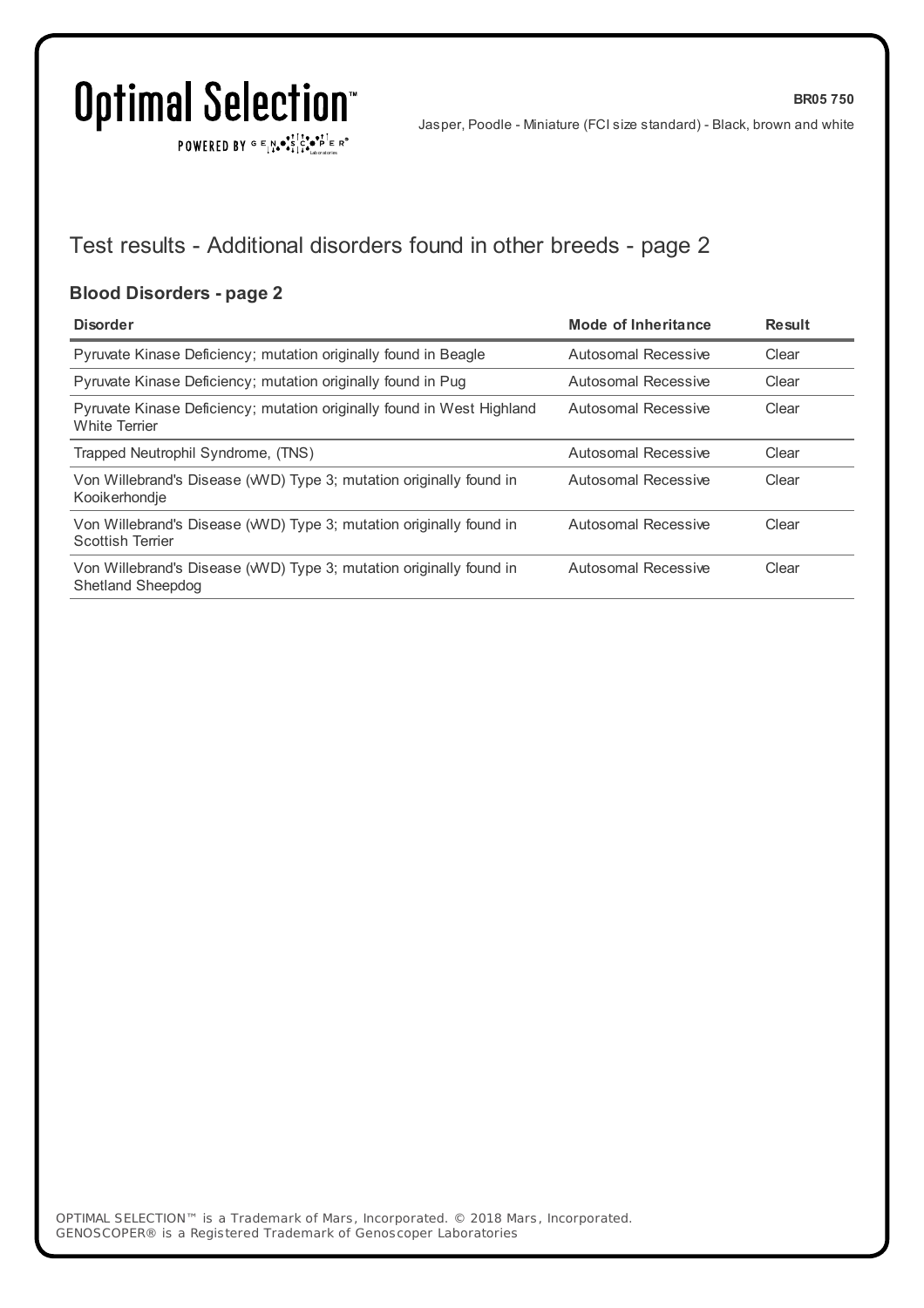$\texttt{POWERED BY} \xrightarrow{\mathbf{c}} \mathbb{I} \underset{\mathbf{a}}{\overset{\mathbf{r}}{\mathbf{a}}} \overset{\mathbf{r}}{\overset{\mathbf{r}}{\mathbf{s}}} \underset{\mathbf{a}}{\overset{\mathbf{r}}{\mathbf{a}}} \overset{\mathbf{r}}{\overset{\mathbf{r}}{\mathbf{s}}} \overset{\mathbf{r}}{\overset{\mathbf{r}}{\mathbf{s}}} \overset{\mathbf{r}}{\overset{\mathbf{r}}{\mathbf{s}}} \overset{\mathbf{r}}{\overset{\mathbf{r}}{\mathbf{s}}} \overset{\mathbf{r}}{\overset{\mathbf{r}}{\mathbf{s}}} \overset{\mathbf{r}}$ 

**BR05 750**

## Test results - Additional disorders found in other breeds - page 2

### **Blood Disorders - page 2**

| <b>Disorder</b>                                                                                | Mode of Inheritance | Result |
|------------------------------------------------------------------------------------------------|---------------------|--------|
| Pyruvate Kinase Deficiency; mutation originally found in Beagle                                | Autosomal Recessive | Clear  |
| Pyruvate Kinase Deficiency; mutation originally found in Pug                                   | Autosomal Recessive | Clear  |
| Pyruvate Kinase Deficiency; mutation originally found in West Highland<br><b>White Terrier</b> | Autosomal Recessive | Clear  |
| Trapped Neutrophil Syndrome, (TNS)                                                             | Autosomal Recessive | Clear  |
| Von Willebrand's Disease (WVD) Type 3; mutation originally found in<br>Kooikerhondje           | Autosomal Recessive | Clear  |
| Von Willebrand's Disease (WVD) Type 3; mutation originally found in<br><b>Scottish Terrier</b> | Autosomal Recessive | Clear  |
| Von Willebrand's Disease (WVD) Type 3; mutation originally found in<br>Shetland Sheepdog       | Autosomal Recessive | Clear  |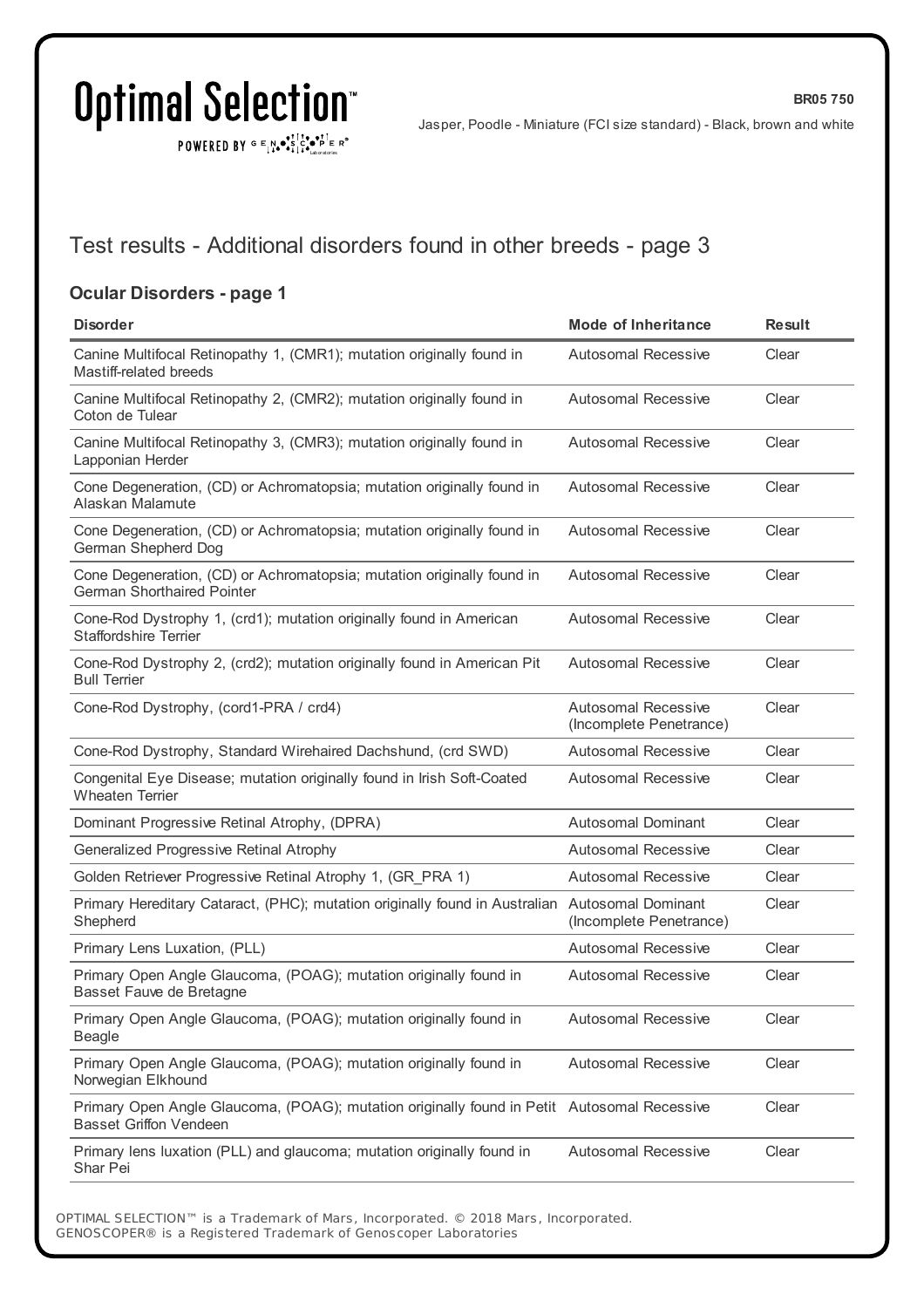$\texttt{POWERED BY} \xrightarrow{\mathbf{c}} \mathbb{I} \underset{\mathbf{a}}{\overset{\mathbf{r}}{\mathbf{a}}} \overset{\mathbf{r}}{\overset{\mathbf{r}}{\mathbf{s}}} \underset{\mathbf{a}}{\overset{\mathbf{r}}{\mathbf{a}}} \overset{\mathbf{r}}{\overset{\mathbf{r}}{\mathbf{s}}} \overset{\mathbf{r}}{\overset{\mathbf{r}}{\mathbf{s}}} \overset{\mathbf{r}}{\overset{\mathbf{r}}{\mathbf{s}}} \overset{\mathbf{r}}{\overset{\mathbf{r}}{\mathbf{s}}} \overset{\mathbf{r}}{\overset{\mathbf{r}}{\mathbf{s}}} \overset{\mathbf{r}}$ 

**BR05 750**

### Test results - Additional disorders found in other breeds - page 3

### **Ocular Disorders - page 1**

| <b>Disorder</b>                                                                                                              | <b>Mode of Inheritance</b>                            | <b>Result</b> |
|------------------------------------------------------------------------------------------------------------------------------|-------------------------------------------------------|---------------|
| Canine Multifocal Retinopathy 1, (CMR1); mutation originally found in<br>Mastiff-related breeds                              | <b>Autosomal Recessive</b>                            | Clear         |
| Canine Multifocal Retinopathy 2, (CMR2); mutation originally found in<br>Coton de Tulear                                     | Autosomal Recessive                                   | Clear         |
| Canine Multifocal Retinopathy 3, (CMR3); mutation originally found in<br>Lapponian Herder                                    | <b>Autosomal Recessive</b>                            | Clear         |
| Cone Degeneration, (CD) or Achromatopsia; mutation originally found in<br>Alaskan Malamute                                   | <b>Autosomal Recessive</b>                            | Clear         |
| Cone Degeneration, (CD) or Achromatopsia; mutation originally found in<br>German Shepherd Dog                                | <b>Autosomal Recessive</b>                            | Clear         |
| Cone Degeneration, (CD) or Achromatopsia; mutation originally found in<br><b>German Shorthaired Pointer</b>                  | <b>Autosomal Recessive</b>                            | Clear         |
| Cone-Rod Dystrophy 1, (crd1); mutation originally found in American<br><b>Staffordshire Terrier</b>                          | <b>Autosomal Recessive</b>                            | Clear         |
| Cone-Rod Dystrophy 2, (crd2); mutation originally found in American Pit<br><b>Bull Terrier</b>                               | <b>Autosomal Recessive</b>                            | Clear         |
| Cone-Rod Dystrophy, (cord1-PRA / crd4)                                                                                       | <b>Autosomal Recessive</b><br>(Incomplete Penetrance) | Clear         |
| Cone-Rod Dystrophy, Standard Wirehaired Dachshund, (crd SWD)                                                                 | <b>Autosomal Recessive</b>                            | Clear         |
| Congenital Eye Disease; mutation originally found in Irish Soft-Coated<br><b>Wheaten Terrier</b>                             | <b>Autosomal Recessive</b>                            | Clear         |
| Dominant Progressive Retinal Atrophy, (DPRA)                                                                                 | <b>Autosomal Dominant</b>                             | Clear         |
| Generalized Progressive Retinal Atrophy                                                                                      | <b>Autosomal Recessive</b>                            | Clear         |
| Golden Retriever Progressive Retinal Atrophy 1, (GR_PRA 1)                                                                   | <b>Autosomal Recessive</b>                            | Clear         |
| Primary Hereditary Cataract, (PHC); mutation originally found in Australian<br>Shepherd                                      | <b>Autosomal Dominant</b><br>(Incomplete Penetrance)  | Clear         |
| Primary Lens Luxation, (PLL)                                                                                                 | <b>Autosomal Recessive</b>                            | Clear         |
| Primary Open Angle Glaucoma, (POAG); mutation originally found in<br>Basset Fauve de Bretagne                                | <b>Autosomal Recessive</b>                            | Clear         |
| Primary Open Angle Glaucoma, (POAG); mutation originally found in<br><b>Beagle</b>                                           | <b>Autosomal Recessive</b>                            | Clear         |
| Primary Open Angle Glaucoma, (POAG); mutation originally found in<br>Norwegian Elkhound                                      | <b>Autosomal Recessive</b>                            | Clear         |
| Primary Open Angle Glaucoma, (POAG); mutation originally found in Petit Autosomal Recessive<br><b>Basset Griffon Vendeen</b> |                                                       | Clear         |
| Primary lens luxation (PLL) and glaucoma; mutation originally found in<br>Shar Pei                                           | <b>Autosomal Recessive</b>                            | Clear         |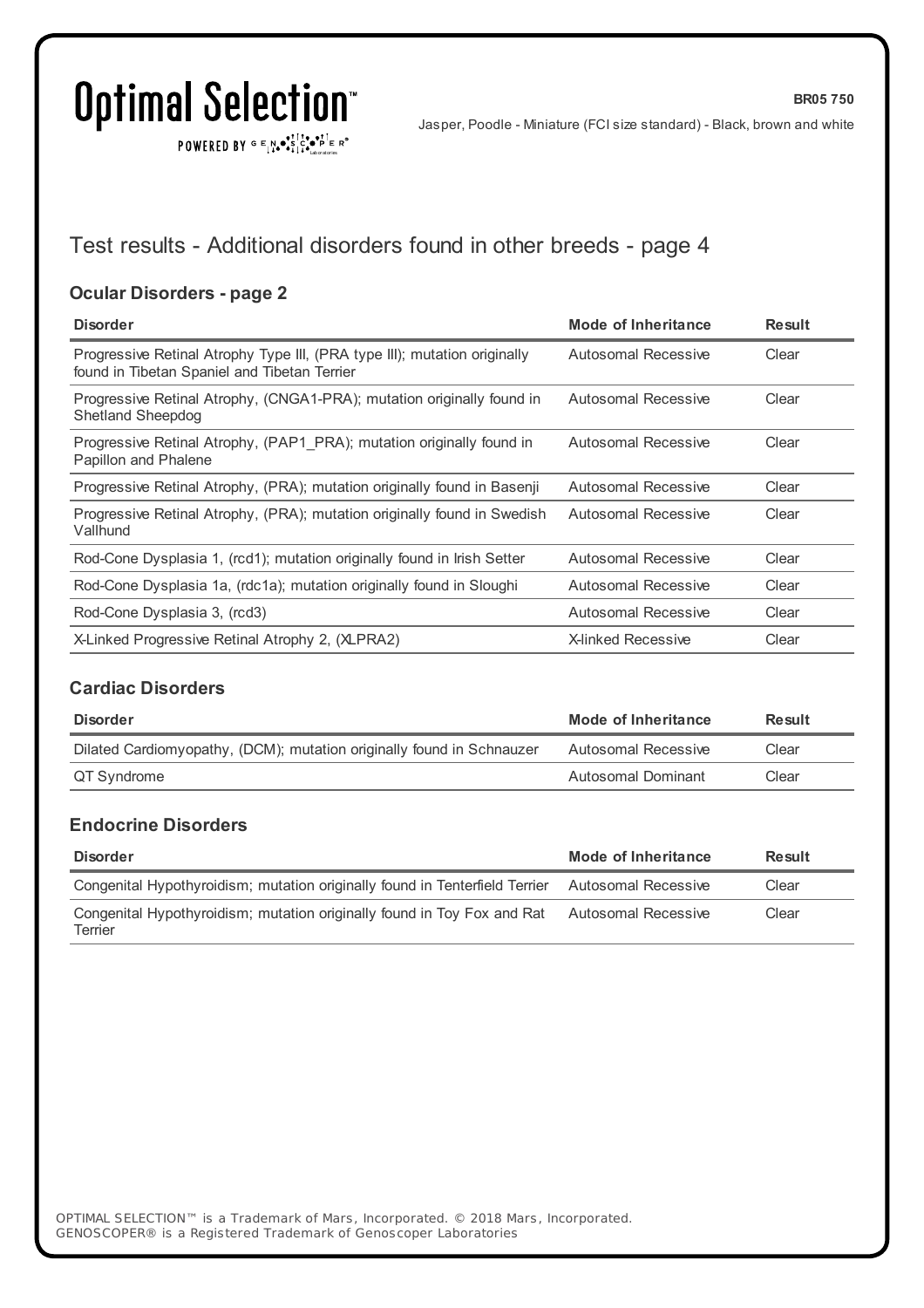$\texttt{POWERED BY} \xrightarrow{\mathbf{c}} \mathbb{I} \underset{\mathbf{a}}{\overset{\mathbf{r}}{\mathbf{a}}} \overset{\mathbf{r}}{\overset{\mathbf{r}}{\mathbf{s}}} \underset{\mathbf{a}}{\overset{\mathbf{r}}{\mathbf{a}}} \overset{\mathbf{r}}{\overset{\mathbf{r}}{\mathbf{s}}} \overset{\mathbf{r}}{\overset{\mathbf{r}}{\mathbf{s}}} \overset{\mathbf{r}}{\overset{\mathbf{r}}{\mathbf{s}}} \overset{\mathbf{r}}{\overset{\mathbf{r}}{\mathbf{s}}} \overset{\mathbf{r}}{\overset{\mathbf{r}}{\mathbf{s}}} \overset{\mathbf{r}}$ 

Jasper, Poodle - Miniature (FCI size standard) - Black, brown and white

**BR05 750**

## Test results - Additional disorders found in other breeds - page 4

### **Ocular Disorders - page 2**

| <b>Disorder</b>                                                                                                           | Mode of Inheritance       | <b>Result</b> |
|---------------------------------------------------------------------------------------------------------------------------|---------------------------|---------------|
| Progressive Retinal Atrophy Type III, (PRA type III); mutation originally<br>found in Tibetan Spaniel and Tibetan Terrier | Autosomal Recessive       | Clear         |
| Progressive Retinal Atrophy, (CNGA1-PRA); mutation originally found in<br><b>Shetland Sheepdog</b>                        | Autosomal Recessive       | Clear         |
| Progressive Retinal Atrophy, (PAP1 PRA); mutation originally found in<br>Papillon and Phalene                             | Autosomal Recessive       | Clear         |
| Progressive Retinal Atrophy, (PRA); mutation originally found in Basenji                                                  | Autosomal Recessive       | Clear         |
| Progressive Retinal Atrophy, (PRA); mutation originally found in Swedish<br>Vallhund                                      | Autosomal Recessive       | Clear         |
| Rod-Cone Dysplasia 1, (rcd1); mutation originally found in Irish Setter                                                   | Autosomal Recessive       | Clear         |
| Rod-Cone Dysplasia 1a, (rdc1a); mutation originally found in Sloughi                                                      | Autosomal Recessive       | Clear         |
| Rod-Cone Dysplasia 3, (rcd3)                                                                                              | Autosomal Recessive       | Clear         |
| X-Linked Progressive Retinal Atrophy 2, (XLPRA2)                                                                          | <b>X-linked Recessive</b> | Clear         |

### **Cardiac Disorders**

| Disorder                                                              | Mode of Inheritance | Result |
|-----------------------------------------------------------------------|---------------------|--------|
| Dilated Cardiomyopathy, (DCM); mutation originally found in Schnauzer | Autosomal Recessive | Clear  |
| QT Syndrome                                                           | Autosomal Dominant  | Clear  |

### **Endocrine Disorders**

| <b>Disorder</b>                                                                                 | Mode of Inheritance | Result |
|-------------------------------------------------------------------------------------------------|---------------------|--------|
| Congenital Hypothyroidism; mutation originally found in Tenterfield Terrier Autosomal Recessive |                     | Clear  |
| Congenital Hypothyroidism; mutation originally found in Toy Fox and Rat<br>Terrier              | Autosomal Recessive | Clear  |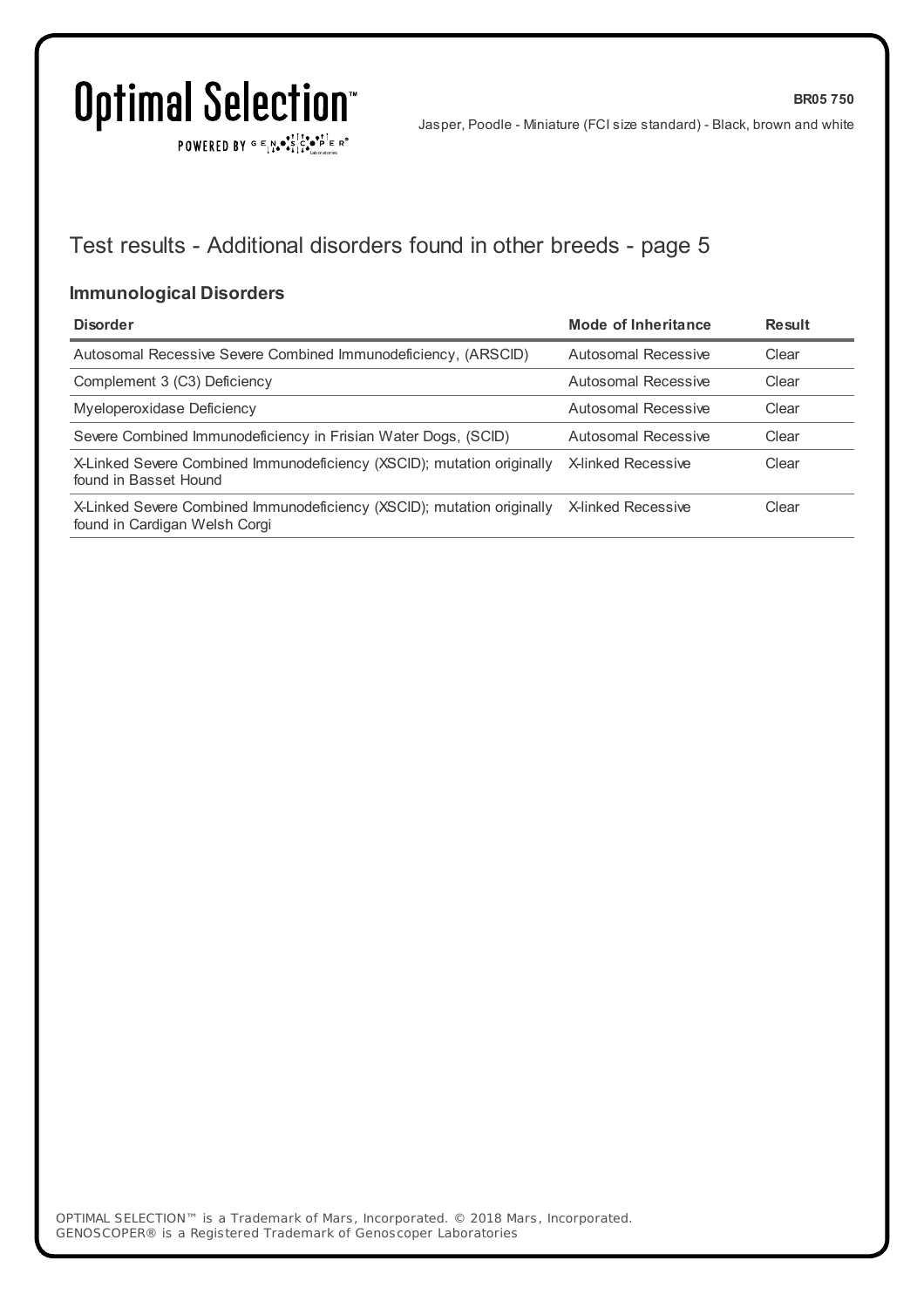$\texttt{POWERED BY} \xrightarrow{\mathbf{c}} \mathbb{I} \underset{\mathbf{a}}{\overset{\mathbf{r}}{\mathbf{a}}} \overset{\mathbf{r}}{\overset{\mathbf{r}}{\mathbf{s}}} \underset{\mathbf{a}}{\overset{\mathbf{r}}{\mathbf{a}}} \overset{\mathbf{r}}{\overset{\mathbf{r}}{\mathbf{s}}} \overset{\mathbf{r}}{\overset{\mathbf{r}}{\mathbf{s}}} \overset{\mathbf{r}}{\overset{\mathbf{r}}{\mathbf{s}}} \overset{\mathbf{r}}{\overset{\mathbf{r}}{\mathbf{s}}} \overset{\mathbf{r}}{\overset{\mathbf{r}}{\mathbf{s}}} \overset{\mathbf{r}}$ 

Jasper, Poodle - Miniature (FCI size standard) - Black, brown and white

**BR05 750**

## Test results - Additional disorders found in other breeds - page 5

### **Immunological Disorders**

| <b>Disorder</b>                                                                                         | Mode of Inheritance       | Result |
|---------------------------------------------------------------------------------------------------------|---------------------------|--------|
| Autosomal Recessive Severe Combined Immunodeficiency, (ARSCID)                                          | Autosomal Recessive       | Clear  |
| Complement 3 (C3) Deficiency                                                                            | Autosomal Recessive       | Clear  |
| Myeloperoxidase Deficiency                                                                              | Autosomal Recessive       | Clear  |
| Severe Combined Immunodeficiency in Frisian Water Dogs, (SCID)                                          | Autosomal Recessive       | Clear  |
| X-Linked Severe Combined Immunodeficiency (XSCID); mutation originally<br>found in Basset Hound         | <b>X-linked Recessive</b> | Clear  |
| X-Linked Severe Combined Immunodeficiency (XSCID); mutation originally<br>found in Cardigan Welsh Corgi | <b>X-linked Recessive</b> | Clear  |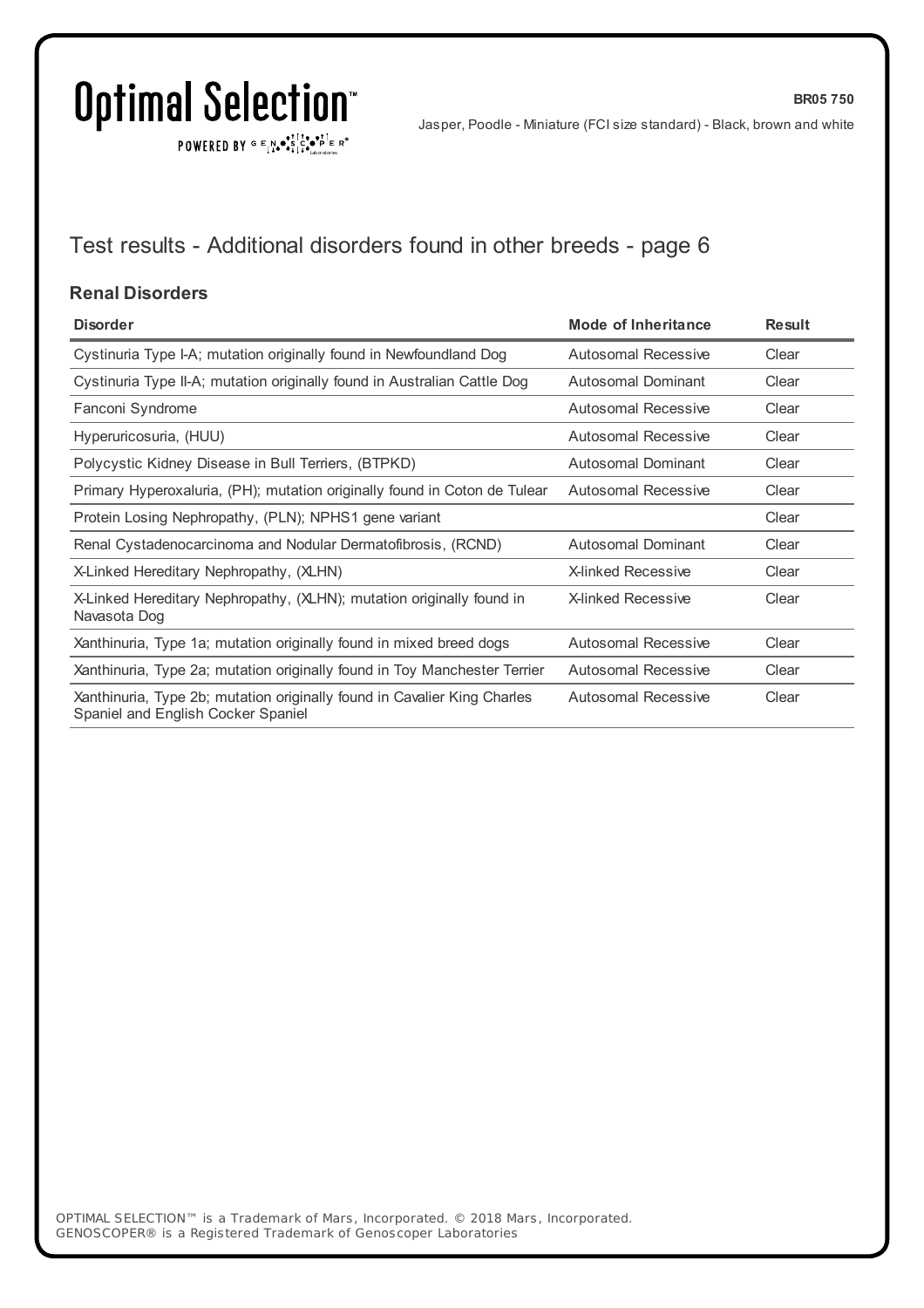$\texttt{POWERED BY} \xrightarrow{\mathbf{c}} \mathbb{I} \underset{\mathbf{a}}{\overset{\mathbf{r}}{\mathbf{a}}} \overset{\mathbf{r}}{\overset{\mathbf{r}}{\mathbf{s}}} \underset{\mathbf{a}}{\overset{\mathbf{r}}{\mathbf{a}}} \overset{\mathbf{r}}{\overset{\mathbf{r}}{\mathbf{s}}} \overset{\mathbf{r}}{\overset{\mathbf{r}}{\mathbf{s}}} \overset{\mathbf{r}}{\overset{\mathbf{r}}{\mathbf{s}}} \overset{\mathbf{r}}{\overset{\mathbf{r}}{\mathbf{s}}} \overset{\mathbf{r}}{\overset{\mathbf{r}}{\mathbf{s}}} \overset{\mathbf{r}}$ 

**BR05 750**

## Test results - Additional disorders found in other breeds - page 6

### **Renal Disorders**

| <b>Disorder</b>                                                                                                | Mode of Inheritance        | <b>Result</b> |
|----------------------------------------------------------------------------------------------------------------|----------------------------|---------------|
| Cystinuria Type I-A; mutation originally found in Newfoundland Dog                                             | Autosomal Recessive        | Clear         |
| Cystinuria Type II-A; mutation originally found in Australian Cattle Dog                                       | Autosomal Dominant         | Clear         |
| Fanconi Syndrome                                                                                               | Autosomal Recessive        | Clear         |
| Hyperuricosuria, (HUU)                                                                                         | Autosomal Recessive        | Clear         |
| Polycystic Kidney Disease in Bull Terriers, (BTPKD)                                                            | Autosomal Dominant         | Clear         |
| Primary Hyperoxaluria, (PH); mutation originally found in Coton de Tulear                                      | Autosomal Recessive        | Clear         |
| Protein Losing Nephropathy, (PLN); NPHS1 gene variant                                                          |                            | Clear         |
| Renal Cystadenocarcinoma and Nodular Dermatofibrosis, (RCND)                                                   | <b>Autosomal Dominant</b>  | Clear         |
| X-Linked Hereditary Nephropathy, (XLHN)                                                                        | <b>X-linked Recessive</b>  | Clear         |
| X-Linked Hereditary Nephropathy, (XLHN); mutation originally found in<br>Navasota Dog                          | <b>X-linked Recessive</b>  | Clear         |
| Xanthinuria, Type 1a; mutation originally found in mixed breed dogs                                            | Autosomal Recessive        | Clear         |
| Xanthinuria, Type 2a; mutation originally found in Toy Manchester Terrier                                      | <b>Autosomal Recessive</b> | Clear         |
| Xanthinuria, Type 2b; mutation originally found in Cavalier King Charles<br>Spaniel and English Cocker Spaniel | <b>Autosomal Recessive</b> | Clear         |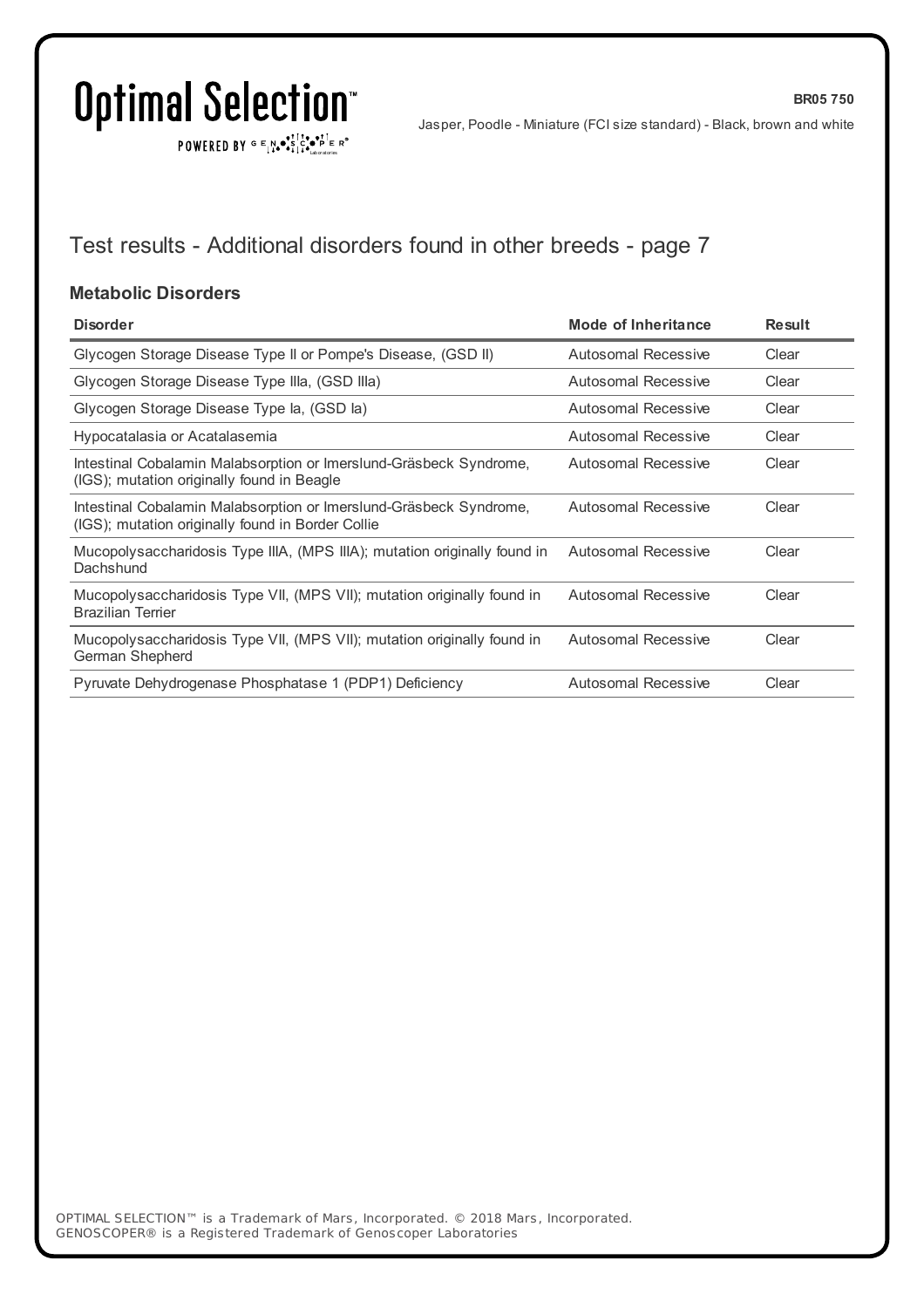$\texttt{POWERED BY} \xrightarrow{\mathbf{c}} \mathbb{I} \underset{\mathbf{a}}{\overset{\mathbf{r}}{\mathbf{a}}} \overset{\mathbf{r}}{\overset{\mathbf{r}}{\mathbf{s}}} \underset{\mathbf{a}}{\overset{\mathbf{r}}{\mathbf{a}}} \overset{\mathbf{r}}{\overset{\mathbf{r}}{\mathbf{s}}} \overset{\mathbf{r}}{\overset{\mathbf{r}}{\mathbf{s}}} \overset{\mathbf{r}}{\overset{\mathbf{r}}{\mathbf{s}}} \overset{\mathbf{r}}{\overset{\mathbf{r}}{\mathbf{s}}} \overset{\mathbf{r}}{\overset{\mathbf{r}}{\mathbf{s}}} \overset{\mathbf{r}}$ 

Jasper, Poodle - Miniature (FCI size standard) - Black, brown and white

**BR05 750**

## Test results - Additional disorders found in other breeds - page 7

### **Metabolic Disorders**

| <b>Disorder</b>                                                                                                         | <b>Mode of Inheritance</b> | <b>Result</b> |
|-------------------------------------------------------------------------------------------------------------------------|----------------------------|---------------|
| Glycogen Storage Disease Type II or Pompe's Disease, (GSD II)                                                           | Autosomal Recessive        | Clear         |
| Glycogen Storage Disease Type IIIa, (GSD IIIa)                                                                          | <b>Autosomal Recessive</b> | Clear         |
| Glycogen Storage Disease Type la, (GSD la)                                                                              | <b>Autosomal Recessive</b> | Clear         |
| Hypocatalasia or Acatalasemia                                                                                           | Autosomal Recessive        | Clear         |
| Intestinal Cobalamin Malabsorption or Imerslund-Gräsbeck Syndrome,<br>(IGS); mutation originally found in Beagle        | Autosomal Recessive        | Clear         |
| Intestinal Cobalamin Malabsorption or Imerslund-Gräsbeck Syndrome,<br>(IGS); mutation originally found in Border Collie | Autosomal Recessive        | Clear         |
| Mucopolysaccharidosis Type IIIA, (MPS IIIA); mutation originally found in<br>Dachshund                                  | Autosomal Recessive        | Clear         |
| Mucopolysaccharidosis Type VII, (MPS VII); mutation originally found in<br><b>Brazilian Terrier</b>                     | Autosomal Recessive        | Clear         |
| Mucopolysaccharidosis Type VII, (MPS VII); mutation originally found in<br>German Shepherd                              | Autosomal Recessive        | Clear         |
| Pyruvate Dehydrogenase Phosphatase 1 (PDP1) Deficiency                                                                  | <b>Autosomal Recessive</b> | Clear         |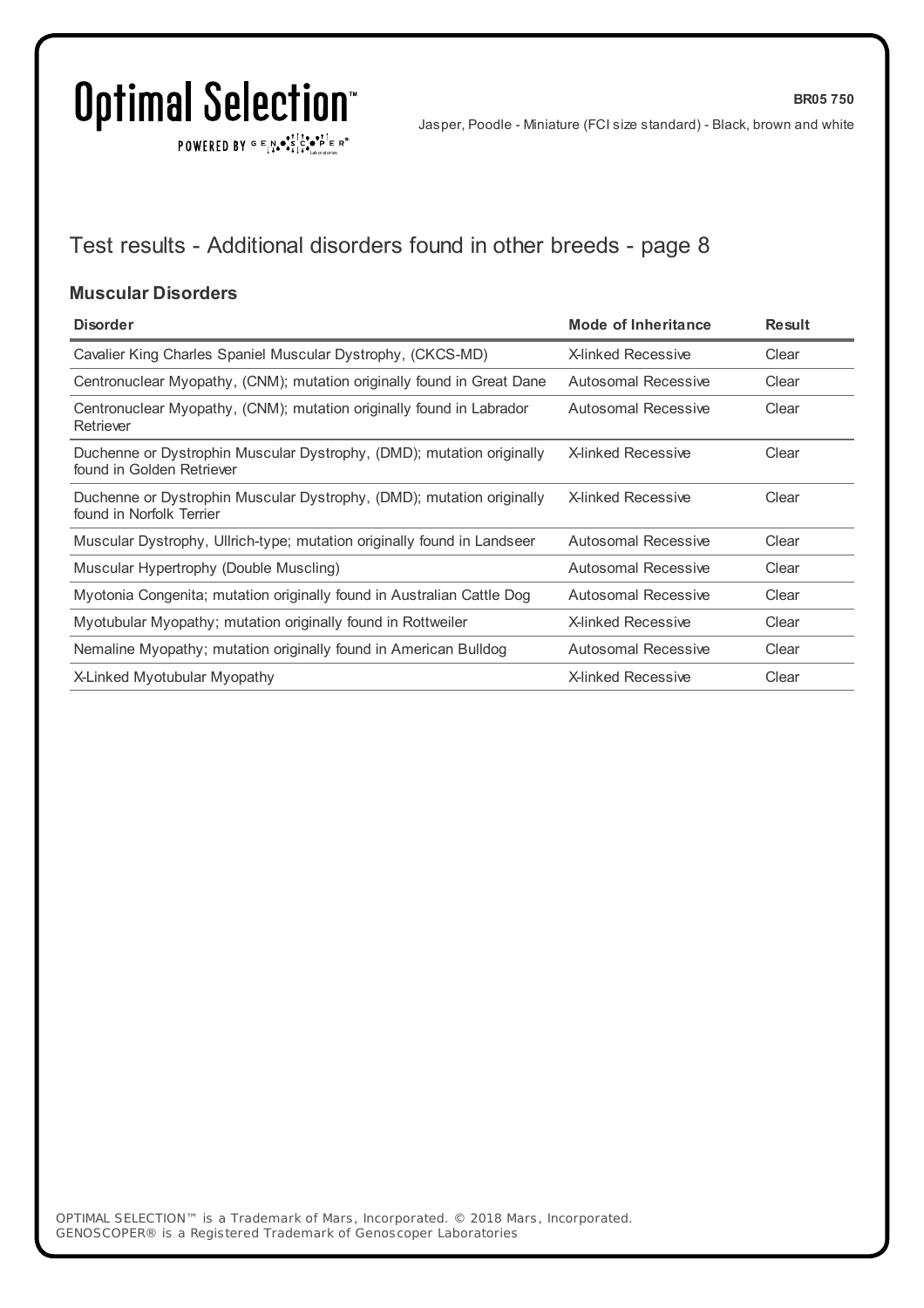$\texttt{POWERED BY} \xrightarrow{\mathbf{c}} \mathbb{I} \underset{\mathbf{a}}{\overset{\mathbf{r}}{\mathbf{a}}} \overset{\mathbf{r}}{\overset{\mathbf{r}}{\mathbf{s}}} \underset{\mathbf{a}}{\overset{\mathbf{r}}{\mathbf{a}}} \overset{\mathbf{r}}{\overset{\mathbf{r}}{\mathbf{s}}} \overset{\mathbf{r}}{\overset{\mathbf{r}}{\mathbf{s}}} \overset{\mathbf{r}}{\overset{\mathbf{r}}{\mathbf{s}}} \overset{\mathbf{r}}{\overset{\mathbf{r}}{\mathbf{s}}} \overset{\mathbf{r}}{\overset{\mathbf{r}}{\mathbf{s}}} \overset{\mathbf{r}}$ 

Jasper, Poodle - Miniature (FCI size standard) - Black, brown and white

**BR05 750**

## Test results - Additional disorders found in other breeds - page 8

### **Muscular Disorders**

| <b>Disorder</b>                                                                                    | Mode of Inheritance        | <b>Result</b> |
|----------------------------------------------------------------------------------------------------|----------------------------|---------------|
| Cavalier King Charles Spaniel Muscular Dystrophy, (CKCS-MD)                                        | <b>X-linked Recessive</b>  | Clear         |
| Centronuclear Myopathy, (CNM); mutation originally found in Great Dane                             | <b>Autosomal Recessive</b> | Clear         |
| Centronuclear Myopathy, (CNM); mutation originally found in Labrador<br>Retriever                  | Autosomal Recessive        | Clear         |
| Duchenne or Dystrophin Muscular Dystrophy, (DMD); mutation originally<br>found in Golden Retriever | <b>X-linked Recessive</b>  | Clear         |
| Duchenne or Dystrophin Muscular Dystrophy, (DMD); mutation originally<br>found in Norfolk Terrier  | <b>X-linked Recessive</b>  | Clear         |
| Muscular Dystrophy, Ullrich-type; mutation originally found in Landseer                            | Autosomal Recessive        | Clear         |
| Muscular Hypertrophy (Double Muscling)                                                             | Autosomal Recessive        | Clear         |
| Myotonia Congenita; mutation originally found in Australian Cattle Dog                             | Autosomal Recessive        | Clear         |
| Myotubular Myopathy; mutation originally found in Rottweiler                                       | <b>X-linked Recessive</b>  | Clear         |
| Nemaline Myopathy; mutation originally found in American Bulldog                                   | Autosomal Recessive        | Clear         |
| X-Linked Myotubular Myopathy                                                                       | <b>X-linked Recessive</b>  | Clear         |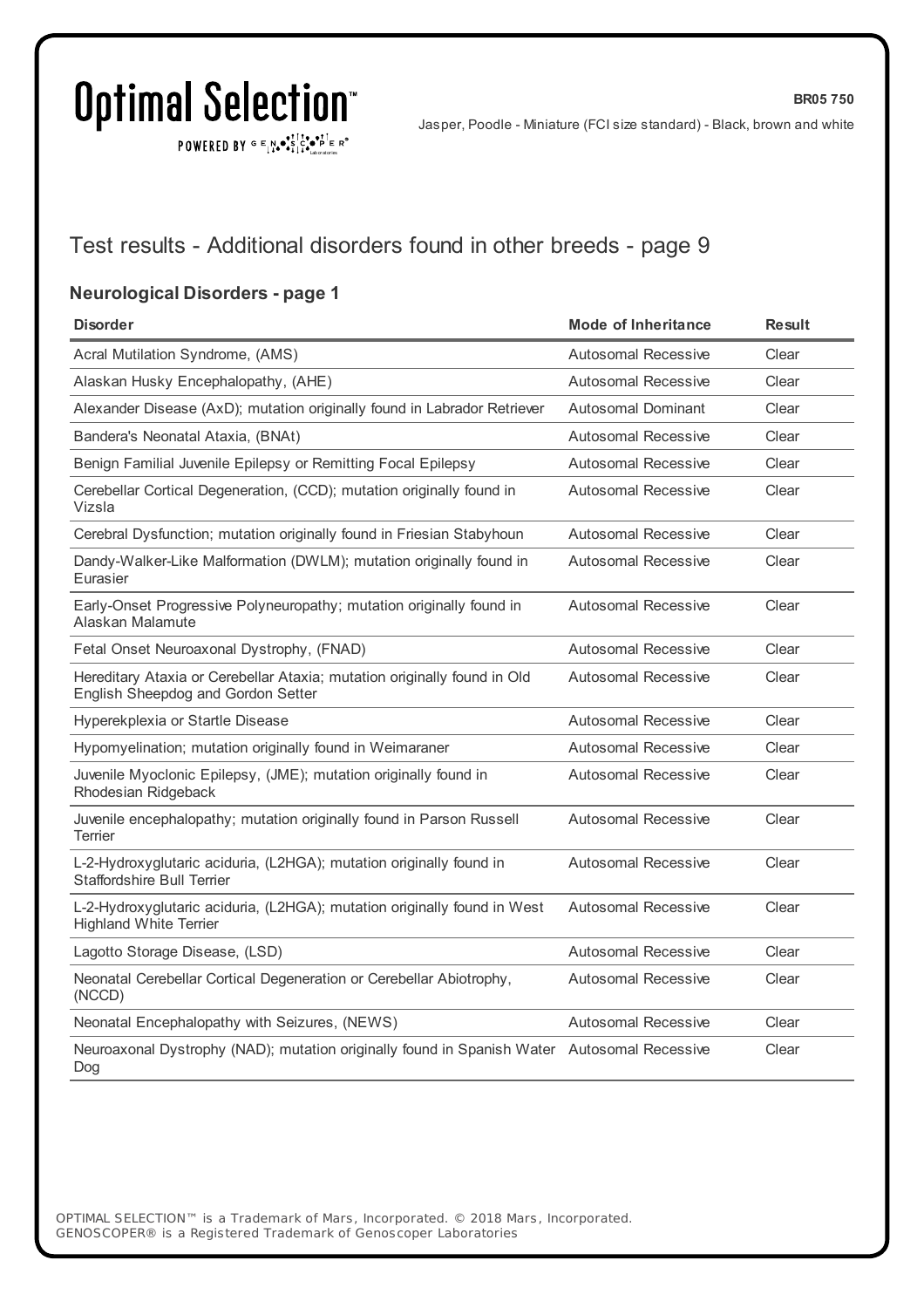POWERED BY  $G \in N_{\bullet} \bullet_{\bullet}^{\bullet}$ 

Jasper, Poodle - Miniature (FCI size standard) - Black, brown and white

**BR05 750**

## Test results - Additional disorders found in other breeds - page 9

### **Neurological Disorders - page 1**

| <b>Disorder</b>                                                                                                | <b>Mode of Inheritance</b> | <b>Result</b> |
|----------------------------------------------------------------------------------------------------------------|----------------------------|---------------|
| Acral Mutilation Syndrome, (AMS)                                                                               | Autosomal Recessive        | Clear         |
| Alaskan Husky Encephalopathy, (AHE)                                                                            | <b>Autosomal Recessive</b> | Clear         |
| Alexander Disease (AxD); mutation originally found in Labrador Retriever                                       | <b>Autosomal Dominant</b>  | Clear         |
| Bandera's Neonatal Ataxia, (BNAt)                                                                              | Autosomal Recessive        | Clear         |
| Benign Familial Juvenile Epilepsy or Remitting Focal Epilepsy                                                  | <b>Autosomal Recessive</b> | Clear         |
| Cerebellar Cortical Degeneration, (CCD); mutation originally found in<br>Vizsla                                | <b>Autosomal Recessive</b> | Clear         |
| Cerebral Dysfunction; mutation originally found in Friesian Stabyhoun                                          | <b>Autosomal Recessive</b> | Clear         |
| Dandy-Walker-Like Malformation (DWLM); mutation originally found in<br>Eurasier                                | <b>Autosomal Recessive</b> | Clear         |
| Early-Onset Progressive Polyneuropathy; mutation originally found in<br>Alaskan Malamute                       | Autosomal Recessive        | Clear         |
| Fetal Onset Neuroaxonal Dystrophy, (FNAD)                                                                      | Autosomal Recessive        | Clear         |
| Hereditary Ataxia or Cerebellar Ataxia; mutation originally found in Old<br>English Sheepdog and Gordon Setter | <b>Autosomal Recessive</b> | Clear         |
| Hyperekplexia or Startle Disease                                                                               | <b>Autosomal Recessive</b> | Clear         |
| Hypomyelination; mutation originally found in Weimaraner                                                       | <b>Autosomal Recessive</b> | Clear         |
| Juvenile Myoclonic Epilepsy, (JME); mutation originally found in<br>Rhodesian Ridgeback                        | <b>Autosomal Recessive</b> | Clear         |
| Juvenile encephalopathy; mutation originally found in Parson Russell<br>Terrier                                | <b>Autosomal Recessive</b> | Clear         |
| L-2-Hydroxyglutaric aciduria, (L2HGA); mutation originally found in<br><b>Staffordshire Bull Terrier</b>       | <b>Autosomal Recessive</b> | Clear         |
| L-2-Hydroxyglutaric aciduria, (L2HGA); mutation originally found in West<br><b>Highland White Terrier</b>      | <b>Autosomal Recessive</b> | Clear         |
| Lagotto Storage Disease, (LSD)                                                                                 | Autosomal Recessive        | Clear         |
| Neonatal Cerebellar Cortical Degeneration or Cerebellar Abiotrophy,<br>(NCCD)                                  | <b>Autosomal Recessive</b> | Clear         |
| Neonatal Encephalopathy with Seizures, (NEWS)                                                                  | Autosomal Recessive        | Clear         |
| Neuroaxonal Dystrophy (NAD); mutation originally found in Spanish Water Autosomal Recessive<br>Dog             |                            | Clear         |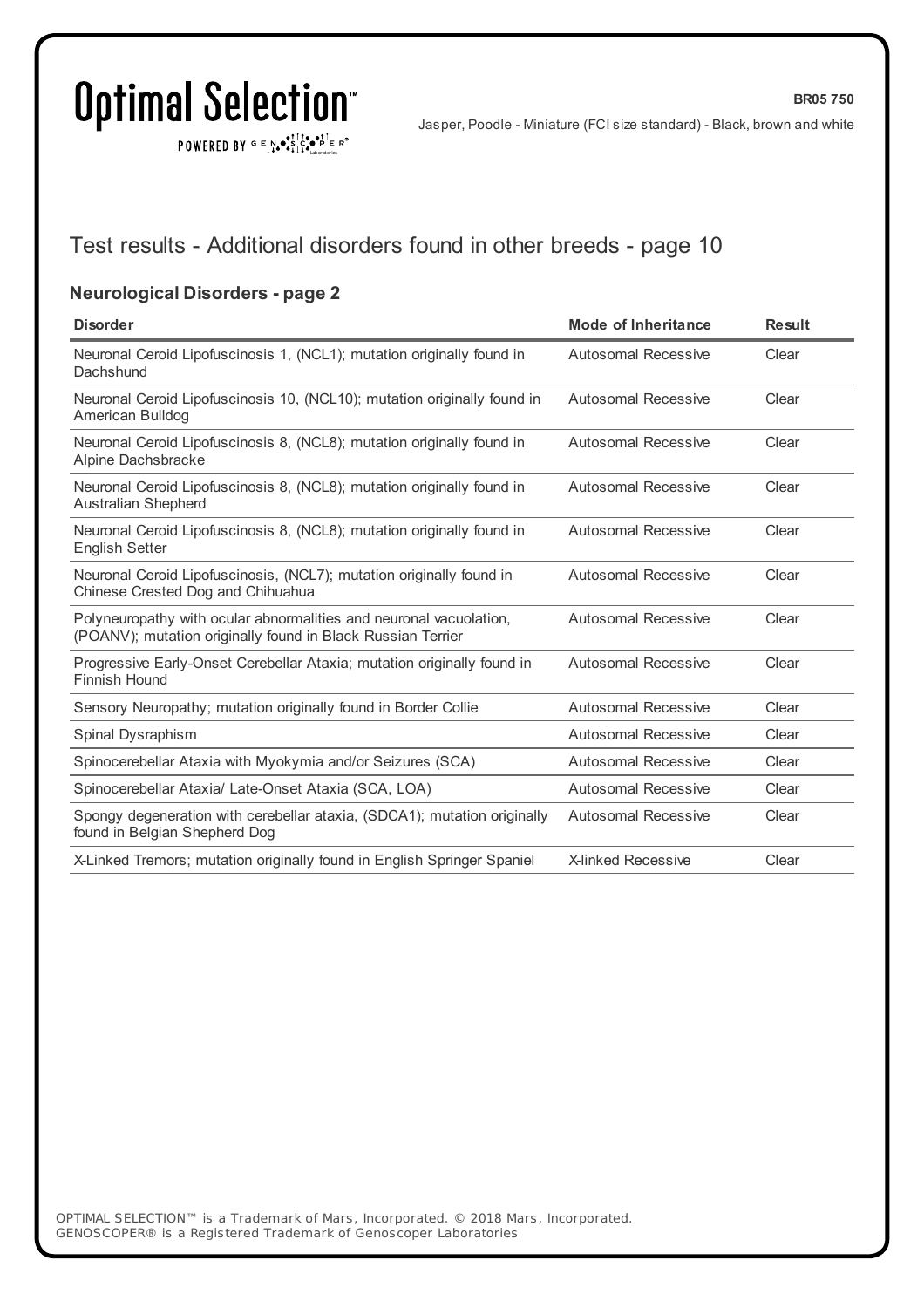POWERED BY  $G \in N_{\bullet} \bullet_{\bullet}^{\bullet}$ 

Jasper, Poodle - Miniature (FCI size standard) - Black, brown and white

**BR05 750**

## Test results - Additional disorders found in other breeds - page 10

### **Neurological Disorders - page 2**

| <b>Disorder</b>                                                                                                                   | Mode of Inheritance        | <b>Result</b> |
|-----------------------------------------------------------------------------------------------------------------------------------|----------------------------|---------------|
| Neuronal Ceroid Lipofuscinosis 1, (NCL1); mutation originally found in<br>Dachshund                                               | <b>Autosomal Recessive</b> | Clear         |
| Neuronal Ceroid Lipofuscinosis 10, (NCL10); mutation originally found in<br>American Bulldog                                      | Autosomal Recessive        | Clear         |
| Neuronal Ceroid Lipofuscinosis 8, (NCL8); mutation originally found in<br>Alpine Dachsbracke                                      | <b>Autosomal Recessive</b> | Clear         |
| Neuronal Ceroid Lipofuscinosis 8, (NCL8); mutation originally found in<br><b>Australian Shepherd</b>                              | <b>Autosomal Recessive</b> | Clear         |
| Neuronal Ceroid Lipofuscinosis 8, (NCL8); mutation originally found in<br><b>English Setter</b>                                   | <b>Autosomal Recessive</b> | Clear         |
| Neuronal Ceroid Lipofuscinosis, (NCL7); mutation originally found in<br>Chinese Crested Dog and Chihuahua                         | Autosomal Recessive        | Clear         |
| Polyneuropathy with ocular abnormalities and neuronal vacuolation,<br>(POANV); mutation originally found in Black Russian Terrier | Autosomal Recessive        | Clear         |
| Progressive Early-Onset Cerebellar Ataxia; mutation originally found in<br>Finnish Hound                                          | Autosomal Recessive        | Clear         |
| Sensory Neuropathy; mutation originally found in Border Collie                                                                    | Autosomal Recessive        | Clear         |
| Spinal Dysraphism                                                                                                                 | Autosomal Recessive        | Clear         |
| Spinocerebellar Ataxia with Myokymia and/or Seizures (SCA)                                                                        | <b>Autosomal Recessive</b> | Clear         |
| Spinocerebellar Ataxia/ Late-Onset Ataxia (SCA, LOA)                                                                              | Autosomal Recessive        | Clear         |
| Spongy degeneration with cerebellar ataxia, (SDCA1); mutation originally<br>found in Belgian Shepherd Dog                         | Autosomal Recessive        | Clear         |
| X-Linked Tremors; mutation originally found in English Springer Spaniel                                                           | X-linked Recessive         | Clear         |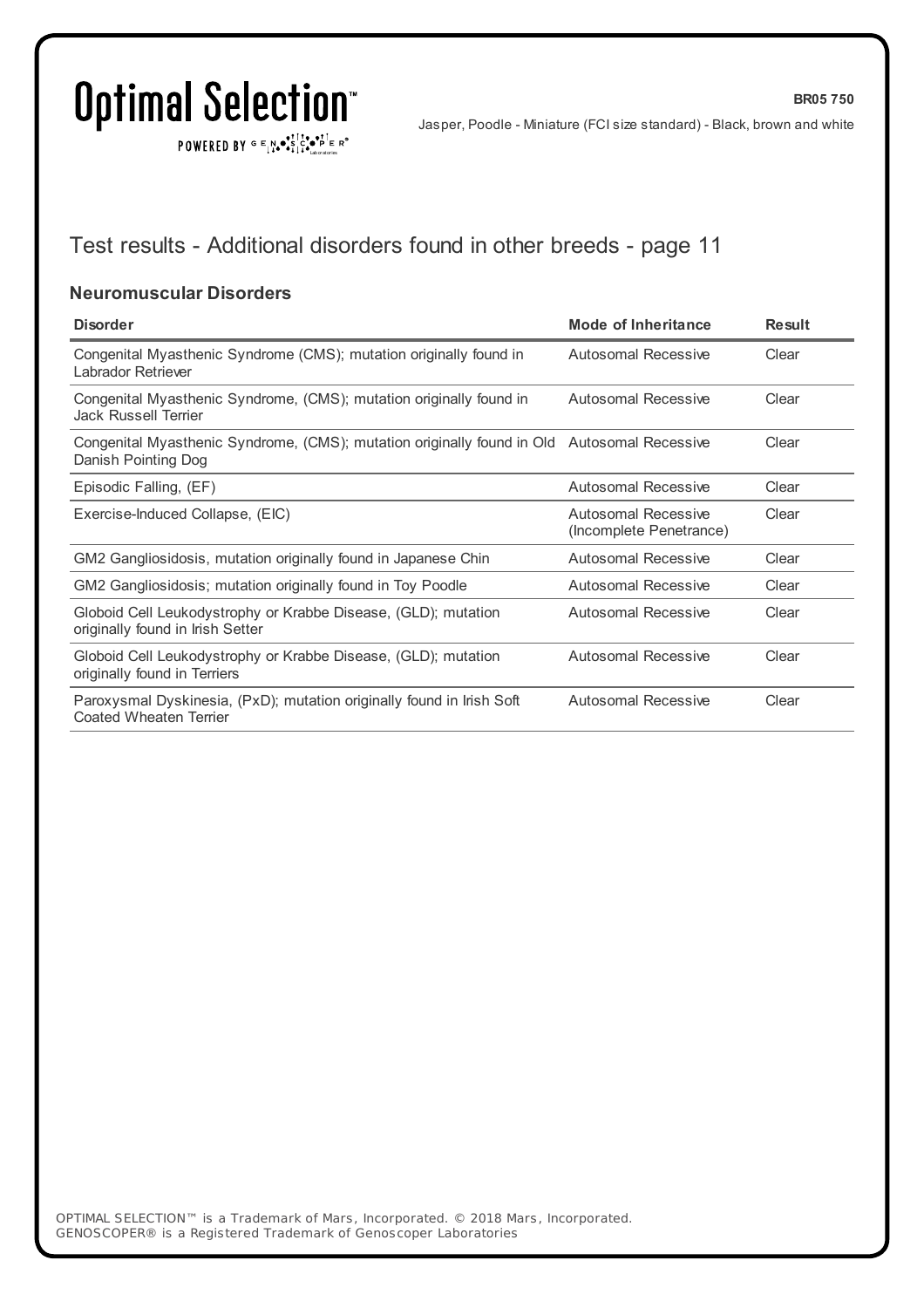$\texttt{POWERED BY} \xrightarrow{\mathbf{c}} \mathbb{I} \underset{\mathbf{a}}{\mathbf{a}} \bullet \underset{\mathbf{a}}{\mathbf{a}} \underset{\mathbf{b}}{\mathbf{a}} \circ \underset{\mathbf{b}}{\mathbf{b}} \overset{\mathbf{c}}{\mathbf{b}} \underset{\mathbf{b}}{\mathbf{b}} \circ \underset{\mathbf{c}}{\mathbf{b}} \overset{\mathbf{c}}{\mathbf{b}} \mathbf{c}} \mathbf{c}^{\circ}$ 

**BR05 750**

## Test results - Additional disorders found in other breeds - page 11

### **Neuromuscular Disorders**

| <b>Disorder</b>                                                                                                    | Mode of Inheritance                            | <b>Result</b> |
|--------------------------------------------------------------------------------------------------------------------|------------------------------------------------|---------------|
| Congenital Myasthenic Syndrome (CMS); mutation originally found in<br>Labrador Retriever                           | Autosomal Recessive                            | Clear         |
| Congenital Myasthenic Syndrome, (CMS); mutation originally found in<br>Jack Russell Terrier                        | Autosomal Recessive                            | Clear         |
| Congenital Myasthenic Syndrome, (CMS); mutation originally found in Old Autosomal Recessive<br>Danish Pointing Dog |                                                | Clear         |
| Episodic Falling, (EF)                                                                                             | Autosomal Recessive                            | Clear         |
| Exercise-Induced Collapse, (EIC)                                                                                   | Autosomal Recessive<br>(Incomplete Penetrance) | Clear         |
| GM2 Gangliosidosis, mutation originally found in Japanese Chin                                                     | Autosomal Recessive                            | Clear         |
| GM2 Gangliosidosis; mutation originally found in Toy Poodle                                                        | Autosomal Recessive                            | Clear         |
| Globoid Cell Leukodystrophy or Krabbe Disease, (GLD); mutation<br>originally found in Irish Setter                 | Autosomal Recessive                            | Clear         |
| Globoid Cell Leukodystrophy or Krabbe Disease, (GLD); mutation<br>originally found in Terriers                     | Autosomal Recessive                            | Clear         |
| Paroxysmal Dyskinesia, (PxD); mutation originally found in Irish Soft<br>Coated Wheaten Terrier                    | Autosomal Recessive                            | Clear         |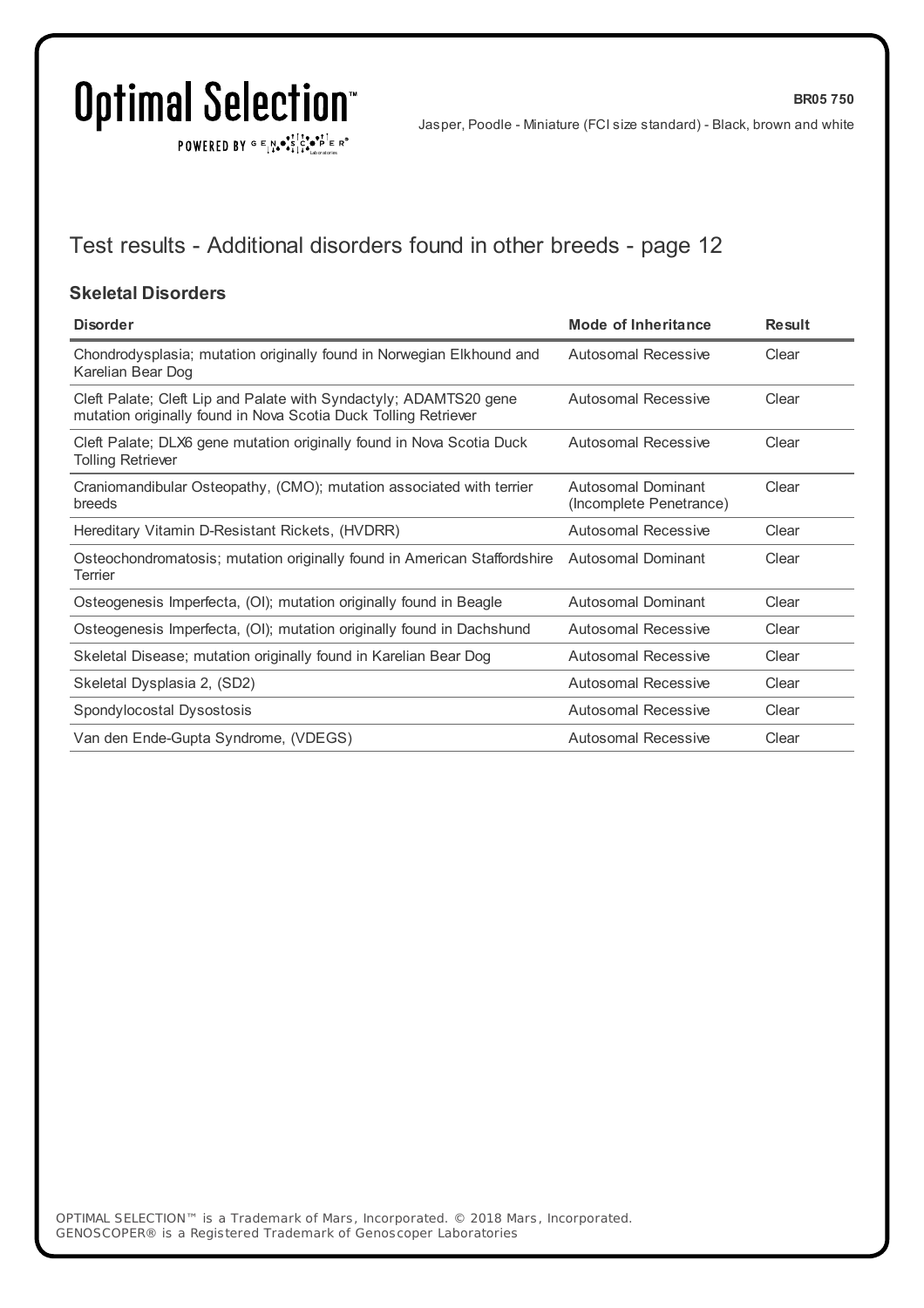$\texttt{POWERED BY} \xrightarrow{\mathbf{c}} \mathbb{I} \underset{\mathbf{a}}{\mathbf{a}} \bullet \underset{\mathbf{a}}{\mathbf{a}} \underset{\mathbf{b}}{\mathbf{a}} \circ \underset{\mathbf{b}}{\mathbf{b}} \overset{\mathbf{c}}{\mathbf{b}} \underset{\mathbf{b}}{\mathbf{b}} \circ \underset{\mathbf{c}}{\mathbf{b}} \overset{\mathbf{c}}{\mathbf{b}} \mathbf{c}} \mathbf{c}^{\circ}$ 

Jasper, Poodle - Miniature (FCI size standard) - Black, brown and white

**BR05 750**

## Test results - Additional disorders found in other breeds - page 12

### **Skeletal Disorders**

| <b>Disorder</b>                                                                                                                      | <b>Mode of Inheritance</b>                    | <b>Result</b> |
|--------------------------------------------------------------------------------------------------------------------------------------|-----------------------------------------------|---------------|
| Chondrodysplasia; mutation originally found in Norwegian Elkhound and<br>Karelian Bear Dog                                           | Autosomal Recessive                           | Clear         |
| Cleft Palate; Cleft Lip and Palate with Syndactyly; ADAMTS20 gene<br>mutation originally found in Nova Scotia Duck Tolling Retriever | Autosomal Recessive                           | Clear         |
| Cleft Palate; DLX6 gene mutation originally found in Nova Scotia Duck<br><b>Tolling Retriever</b>                                    | <b>Autosomal Recessive</b>                    | Clear         |
| Craniomandibular Osteopathy, (CMO); mutation associated with terrier<br>breeds                                                       | Autosomal Dominant<br>(Incomplete Penetrance) | Clear         |
| Hereditary Vitamin D-Resistant Rickets, (HVDRR)                                                                                      | <b>Autosomal Recessive</b>                    | Clear         |
| Osteochondromatosis; mutation originally found in American Staffordshire<br>Terrier                                                  | Autosomal Dominant                            | Clear         |
| Osteogenesis Imperfecta, (OI); mutation originally found in Beagle                                                                   | Autosomal Dominant                            | Clear         |
| Osteogenesis Imperfecta, (OI); mutation originally found in Dachshund                                                                | <b>Autosomal Recessive</b>                    | Clear         |
| Skeletal Disease; mutation originally found in Karelian Bear Dog                                                                     | Autosomal Recessive                           | Clear         |
| Skeletal Dysplasia 2, (SD2)                                                                                                          | Autosomal Recessive                           | Clear         |
| Spondylocostal Dysostosis                                                                                                            | Autosomal Recessive                           | Clear         |
| Van den Ende-Gupta Syndrome, (VDEGS)                                                                                                 | Autosomal Recessive                           | Clear         |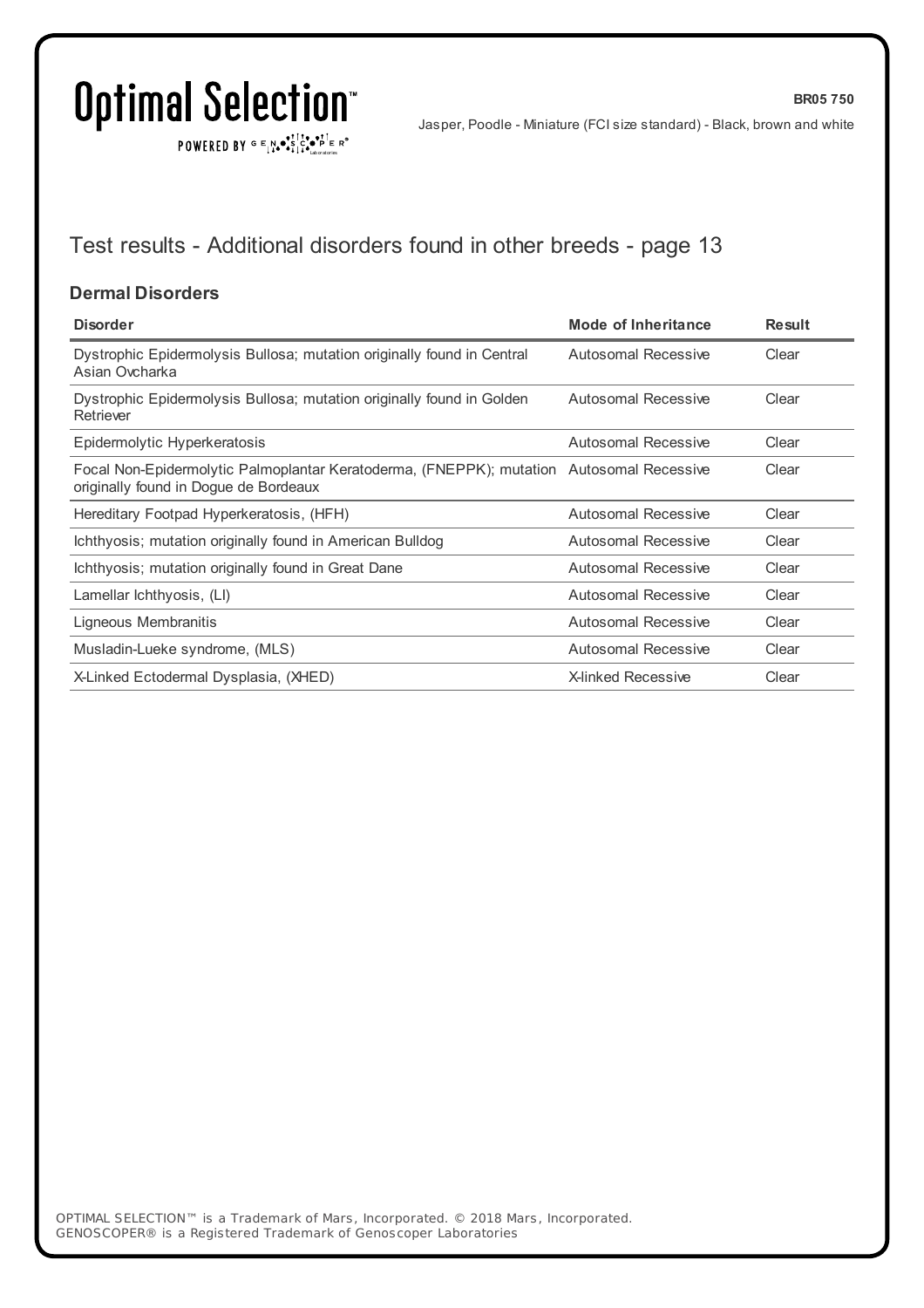$\texttt{POWERED BY} \xrightarrow{\mathbf{c}} \mathbb{I} \underset{\mathbf{a}}{\mathbf{a}} \bullet \underset{\mathbf{a}}{\mathbf{a}} \underset{\mathbf{b}}{\mathbf{a}} \circ \underset{\mathbf{b}}{\mathbf{b}} \overset{\mathbf{c}}{\mathbf{b}} \underset{\mathbf{b}}{\mathbf{b}} \circ \underset{\mathbf{c}}{\mathbf{b}} \overset{\mathbf{c}}{\mathbf{b}} \mathbf{c}} \mathbf{c}^{\circ}$ 

Jasper, Poodle - Miniature (FCI size standard) - Black, brown and white

**BR05 750**

## Test results - Additional disorders found in other breeds - page 13

### **Dermal Disorders**

| <b>Disorder</b>                                                                                                                   | <b>Mode of Inheritance</b> | <b>Result</b> |
|-----------------------------------------------------------------------------------------------------------------------------------|----------------------------|---------------|
| Dystrophic Epidermolysis Bullosa; mutation originally found in Central<br>Asian Ovcharka                                          | Autosomal Recessive        | Clear         |
| Dystrophic Epidermolysis Bullosa; mutation originally found in Golden<br>Retriever                                                | Autosomal Recessive        | Clear         |
| Epidermolytic Hyperkeratosis                                                                                                      | Autosomal Recessive        | Clear         |
| Focal Non-Epidermolytic Palmoplantar Keratoderma, (FNEPPK); mutation Autosomal Recessive<br>originally found in Dogue de Bordeaux |                            | Clear         |
| Hereditary Footpad Hyperkeratosis, (HFH)                                                                                          | Autosomal Recessive        | Clear         |
| Ichthyosis; mutation originally found in American Bulldog                                                                         | Autosomal Recessive        | Clear         |
| Ichthyosis; mutation originally found in Great Dane                                                                               | Autosomal Recessive        | Clear         |
| Lamellar Ichthyosis, (LI)                                                                                                         | Autosomal Recessive        | Clear         |
| Ligneous Membranitis                                                                                                              | <b>Autosomal Recessive</b> | Clear         |
| Musladin-Lueke syndrome, (MLS)                                                                                                    | Autosomal Recessive        | Clear         |
| X-Linked Ectodermal Dysplasia, (XHED)                                                                                             | <b>X-linked Recessive</b>  | Clear         |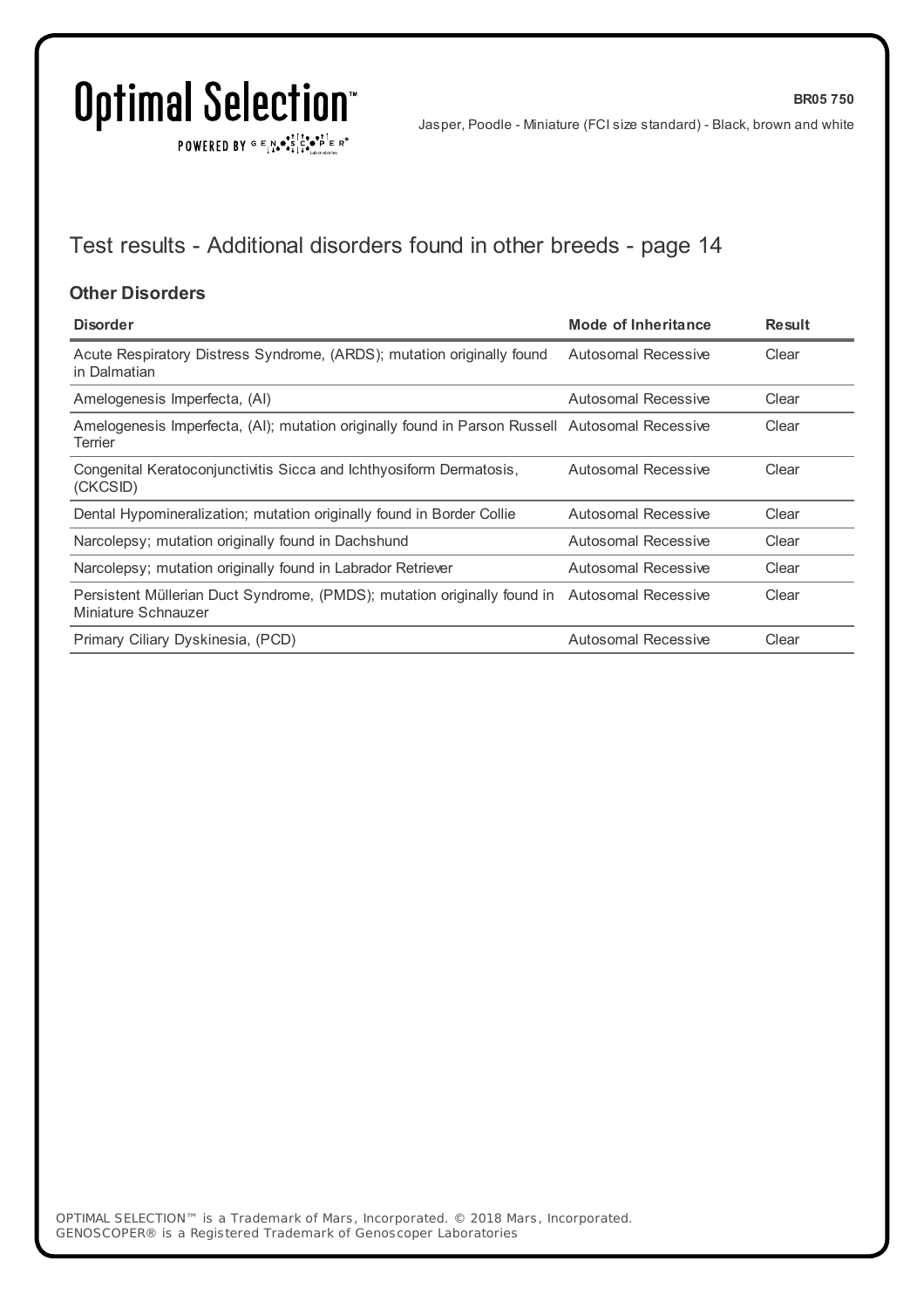POWERED BY  $G \in N \cdot S$   $C \cdot P$   $F \in R^{\circ}$ 

**BR05 750**

## Test results - Additional disorders found in other breeds - page 14

#### **Other Disorders**

| <b>Disorder</b>                                                                                                     | Mode of Inheritance        | <b>Result</b> |
|---------------------------------------------------------------------------------------------------------------------|----------------------------|---------------|
| Acute Respiratory Distress Syndrome, (ARDS); mutation originally found<br>in Dalmatian                              | <b>Autosomal Recessive</b> | Clear         |
| Amelogenesis Imperfecta, (AI)                                                                                       | Autosomal Recessive        | Clear         |
| Amelogenesis Imperfecta, (AI); mutation originally found in Parson Russell Autosomal Recessive<br>Terrier           |                            | Clear         |
| Congenital Keratoconjunctivitis Sicca and Ichthyosiform Dermatosis,<br>(CKCSID)                                     | Autosomal Recessive        | Clear         |
| Dental Hypomineralization; mutation originally found in Border Collie                                               | Autosomal Recessive        | Clear         |
| Narcolepsy; mutation originally found in Dachshund                                                                  | Autosomal Recessive        | Clear         |
| Narcolepsy; mutation originally found in Labrador Retriever                                                         | Autosomal Recessive        | Clear         |
| Persistent Müllerian Duct Syndrome, (PMDS); mutation originally found in Autosomal Recessive<br>Miniature Schnauzer |                            | Clear         |
| Primary Ciliary Dyskinesia, (PCD)                                                                                   | Autosomal Recessive        | Clear         |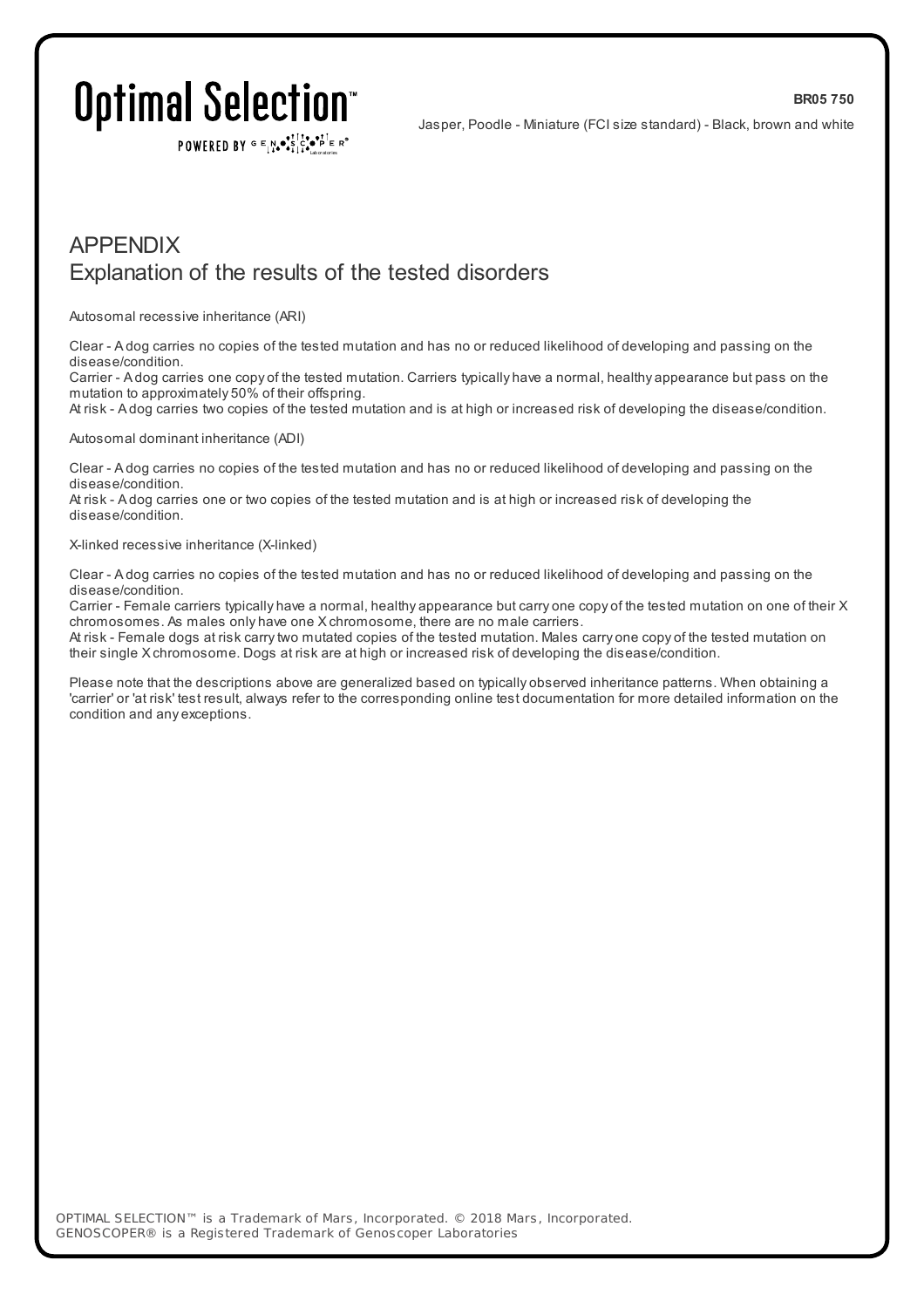POWERED BY  $G \in N_{\bullet} \bullet \in \mathbb{R}$ 

**BR05 750**

### APPENDIX Explanation of the results of the tested disorders

Autosomal recessive inheritance (ARI)

Clear - A dog carries no copies of the tested mutation and has no or reduced likelihood of developing and passing on the disease/condition.

Carrier - A dog carries one copy of the tested mutation. Carriers typically have a normal, healthy appearance but pass on the mutation to approximately 50% of their offspring.

At risk - A dog carries two copies of the tested mutation and is at high or increased risk of developing the disease/condition.

#### Autosomal dominant inheritance (ADI)

Clear - A dog carries no copies of the tested mutation and has no or reduced likelihood of developing and passing on the disease/condition.

At risk - A dog carries one or two copies of the tested mutation and is at high or increased risk of developing the disease/condition.

#### X-linked recessive inheritance (X-linked)

Clear - A dog carries no copies of the tested mutation and has no or reduced likelihood of developing and passing on the disease/condition.

Carrier - Female carriers typically have a normal, healthy appearance but carry one copy of the tested mutation on one of their X chromosomes. As males only have one X chromosome, there are no male carriers.

At risk - Female dogs at risk carrytwo mutated copies of the tested mutation. Males carry one copy of the tested mutation on their single X chromosome. Dogs at risk are at high or increased risk of developing the disease/condition.

Please note that the descriptions above are generalized based on typically observed inheritance patterns. When obtaining a 'carrier' or 'at risk' test result, always refer to the corresponding online test documentation for more detailed information on the condition and any exceptions.